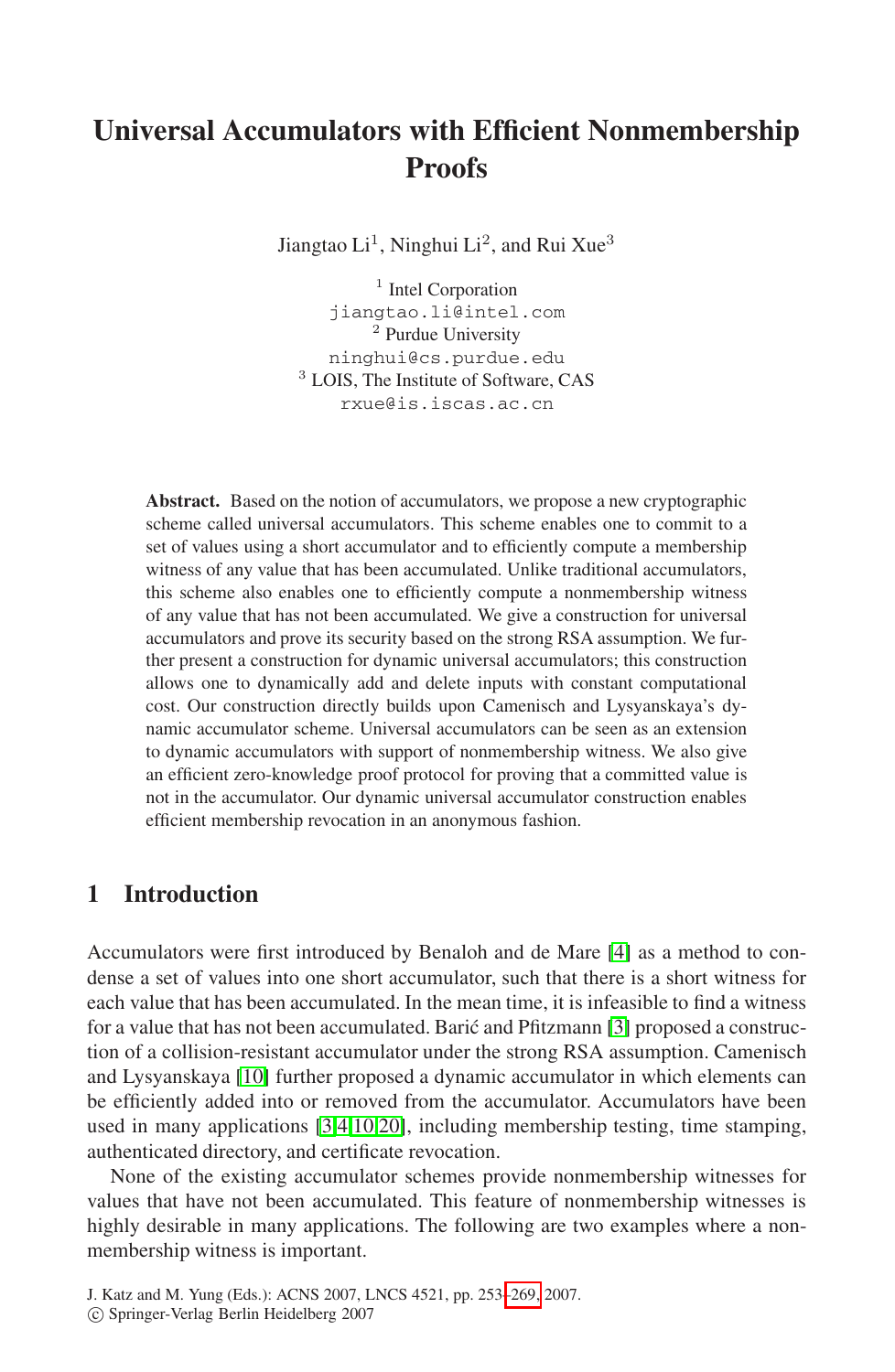# **Universal Accumulators with Efficient Nonmembership Proofs**

Jiangtao Li<sup>1</sup>, Ninghui Li<sup>2</sup>, and Rui Xue<sup>3</sup>

<sup>1</sup> Intel Corporation jiangtao.li@intel.com <sup>2</sup> Purdue University ninghui@cs.purdue.edu <sup>3</sup> LOIS, The Institute of Software, CAS rxue@is.iscas.ac.cn

**Abstract.** Based on the notion of accumulators, we propose a new cryptographic scheme called universal accumulators. This scheme enables one to commit to a set of values using a short accumulator and to efficiently compute a membership witness of any value that has been accumulated. Unlike traditional accumulators, this scheme also enables one to efficiently compute a nonmembership witness of any value that has not been accumulated. We give a construction for universal accumulators and prove its security based on the strong RSA assumption. We further present a construction for dynamic universal accumulators; this construction allows one to dynamically add and delete inputs with constant computational cost. Our construction directly builds upon Camenisch and Lysyanskaya's dynamic accumulator scheme. Universal accumulators can be seen as an extension to dynamic accumulators with support of nonmembership witness. We also give an efficient zero-knowledge proof protocol for proving that a committed value is not in the accumulator. Our dynamic universal accumulator construction enables efficient membership revocation in an anonymous fashion.

## **1 Introduction**

Accumulators were first introduced by Benaloh and de Mare [4] as a method to condense a set of values into one short accumulator, such that there is a short witness for each value that has been accumulated. In the mean time, it is infeasible to find a witness for a value that has not been accumulated. Barić and Pfitzmann  $[3]$  proposed a construction of a collision-resistant accumulator under the strong RSA assumption. Camenisch and Lysyanskaya [10] further proposed a dynamic accumulator in which elements can be efficiently added into or removed from the accumulator. Accumulators have been used in many applications [3,4,10,20], including membership testing, time stamping, authenticated directory, and certificate revocation.

None of the existing accumulator schemes provide nonmembership witnesses for values that have not been accumulated. This feature of nonmembership witnesses is highly desirable in many applications. The following are two examples where a nonmembership witness is important.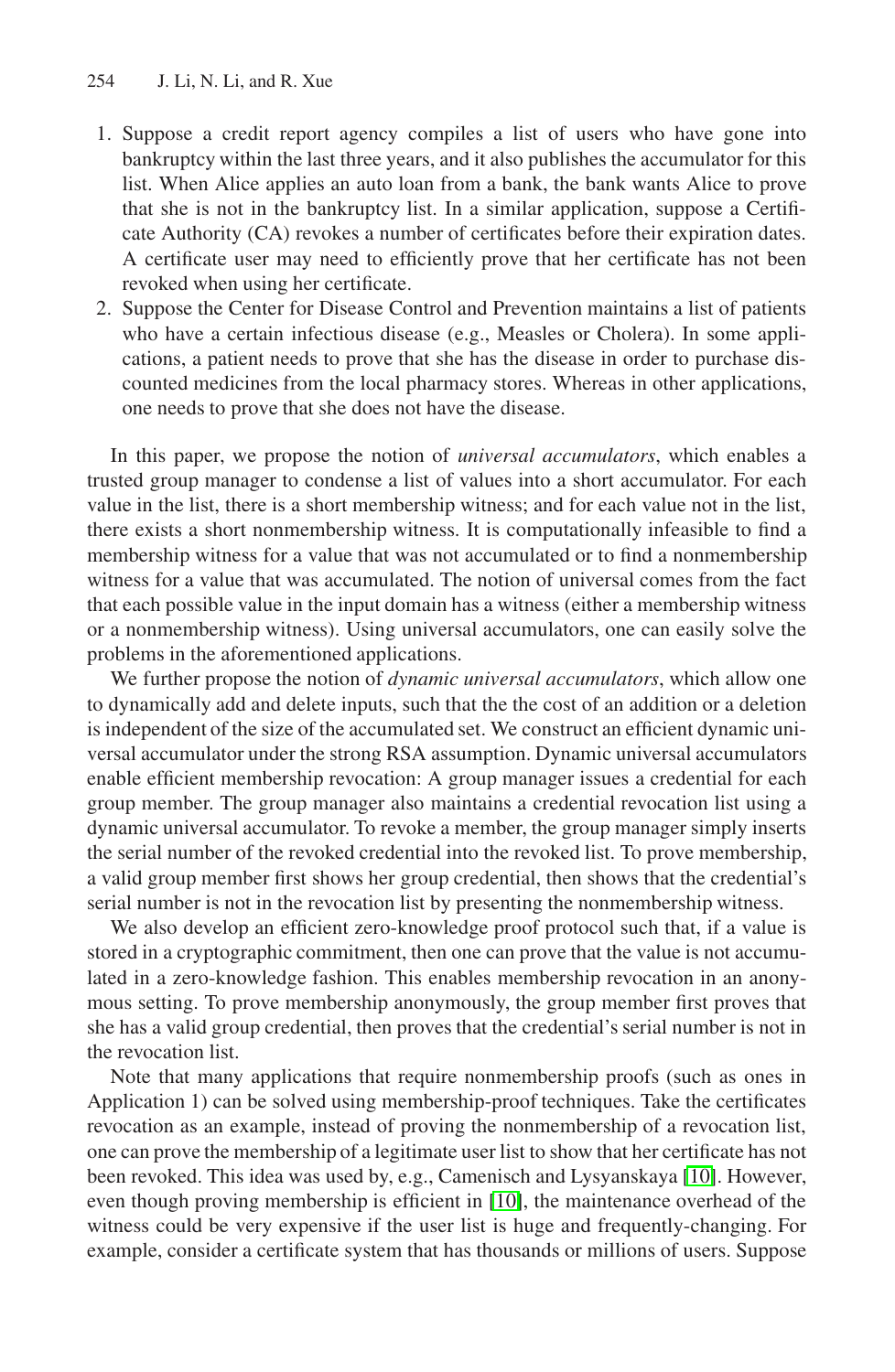- 1. Suppose a credit report agency compiles a list of users who have gone into bankruptcy within the last three years, and it also publishes the accumulator for this list. When Alice applies an auto loan from a bank, the bank wants Alice to prove that she is not in the bankruptcy list. In a similar application, suppose a Certificate Authority (CA) revokes a number of certificates before their expiration dates. A certificate user may need to efficiently prove that her certificate has not been revoked when using her certificate.
- 2. Suppose the Center for Disease Control and Prevention maintains a list of patients who have a certain infectious disease (e.g., Measles or Cholera). In some applications, a patient needs to prove that she has the disease in order to purchase discounted medicines from the local pharmacy stores. Whereas in other applications, one needs to prove that she does not have the disease.

In this paper, we propose the notion of *universal accumulators*, which enables a trusted group manager to condense a list of values into a short accumulator. For each value in the list, there is a short membership witness; and for each value not in the list, there exists a short nonmembership witness. It is computationally infeasible to find a membership witness for a value that was not accumulated or to find a nonmembership witness for a value that was accumulated. The notion of universal comes from the fact that each possible value in the input domain has a witness (either a membership witness or a nonmembership witness). Using universal accumulators, one can easily solve the problems in the aforementioned applications.

We further propose the notion of *dynamic universal accumulators*, which allow one to dynamically add and delete inputs, such that the the cost of an addition or a deletion is independent of the size of the accumulated set. We construct an efficient dynamic universal accumulator under the strong RSA assumption. Dynamic universal accumulators enable efficient membership revocation: A group manager issues a credential for each group member. The group manager also maintains a credential revocation list using a dynamic universal accumulator. To revoke a member, the group manager simply inserts the serial number of the revoked credential into the revoked list. To prove membership, a valid group member first shows her group credential, then shows that the credential's serial number is not in the revocation list by presenting the nonmembership witness.

We also develop an efficient zero-knowledge proof protocol such that, if a value is stored in a cryptographic commitment, then one can prove that the value is not accumulated in a zero-knowledge fashion. This enables membership revocation in an anonymous setting. To prove membership anonymously, the group member first proves that she has a valid group credential, then proves that the credential's serial number is not in the revocation list.

Note that many applications that require nonmembership proofs (such as ones in Application 1) can be solved using membership-proof techniques. Take the certificates revocation as an example, instead of proving the nonmembership of a revocation list, one can prove the membership of a legitimate user list to show that her certificate has not been revoked. This idea was used by, e.g., Camenisch and Lysyanskaya [10]. However, even though proving membership is efficient in [10], the maintenance overhead of the witness could be very expensive if the user list is huge and frequently-changing. For example, consider a certificate system that has thousands or millions of users. Suppose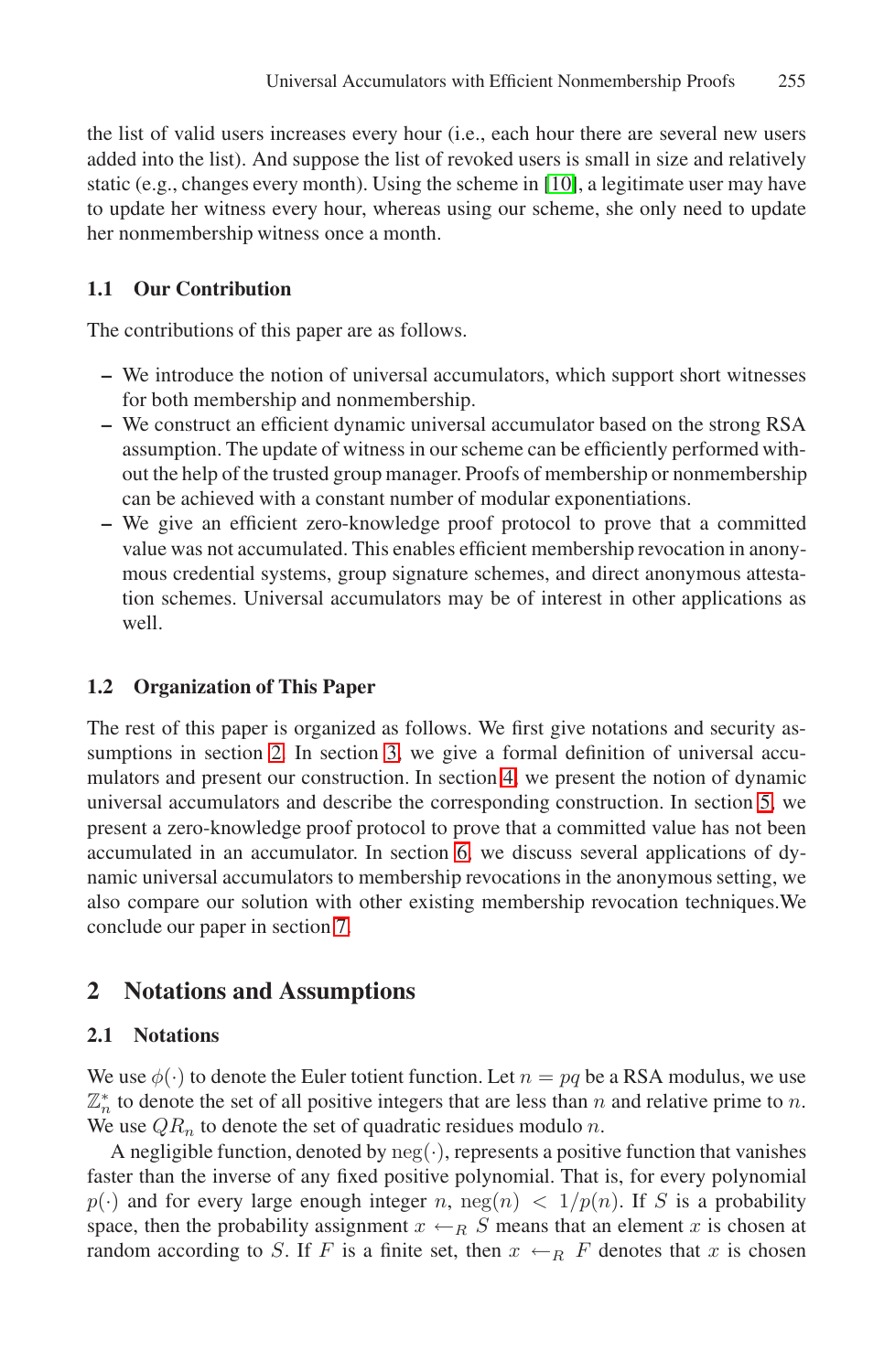the list of valid users increases every hour (i.e., each hour there are several new users added into the list). And suppose the list of revoked users is small in size and relatively static (e.g., changes every month). Using the scheme in [10], a legitimate user may have to update her witness every hour, whereas using our scheme, she only need to update her nonmembership witness once a month.

### **1.1 Our Contribution**

The contributions of this paper are as follows.

- **–** We introduce the notion of universal accumulators, which support short witnesses for both membership and nonmembership.
- **–** We construct an efficient dynamic universal accumulator based on the strong RSA assumption. The update of witness in our scheme can be efficiently performed without the help of the trusted group manager. Proofs of membership or nonmembership can be achieved with a constant number of modular exponentiations.
- **–** We give an efficient zero-knowledge proof protocol to prove that a committed value was not accumulated. This enables efficient membership revocation in anonymous credential systems, group signature schemes, and direct anonymous attestation schemes. Universal accumulators may be of interest in other applications as well.

### **1.2 Organization of This Paper**

The rest of this paper is organized as follows. We first give notations and security assumptions in section 2. In section 3, we give a formal definition of universal accumulators and present our construction. In section 4, we present the notion of dynamic universal accumulators and describe the corresponding construction. In section 5, we present a zero-knowledge proof protocol to prove that a committed value has not been accumulated in an accumulator. In section 6, we discuss several applications of dynamic universal accumulators to membership revocations in the anonymous setting, we also compare our solution with other existing membership revocation techniques.We conclude our paper in section 7.

## **2 Notations and Assumptions**

### **2.1 Notations**

We use  $\phi(\cdot)$  to denote the Euler totient function. Let  $n = pq$  be a RSA modulus, we use  $\mathbb{Z}_n^*$  to denote the set of all positive integers that are less than n and relative prime to n. We use  $QR_n$  to denote the set of quadratic residues modulo n.

A negligible function, denoted by  $neg(\cdot)$ , represents a positive function that vanishes faster than the inverse of any fixed positive polynomial. That is, for every polynomial  $p(\cdot)$  and for every large enough integer n,  $neg(n) < 1/p(n)$ . If S is a probability space, then the probability assignment  $x \leftarrow_R S$  means that an element x is chosen at random according to S. If F is a finite set, then  $x \leftarrow_R F$  denotes that x is chosen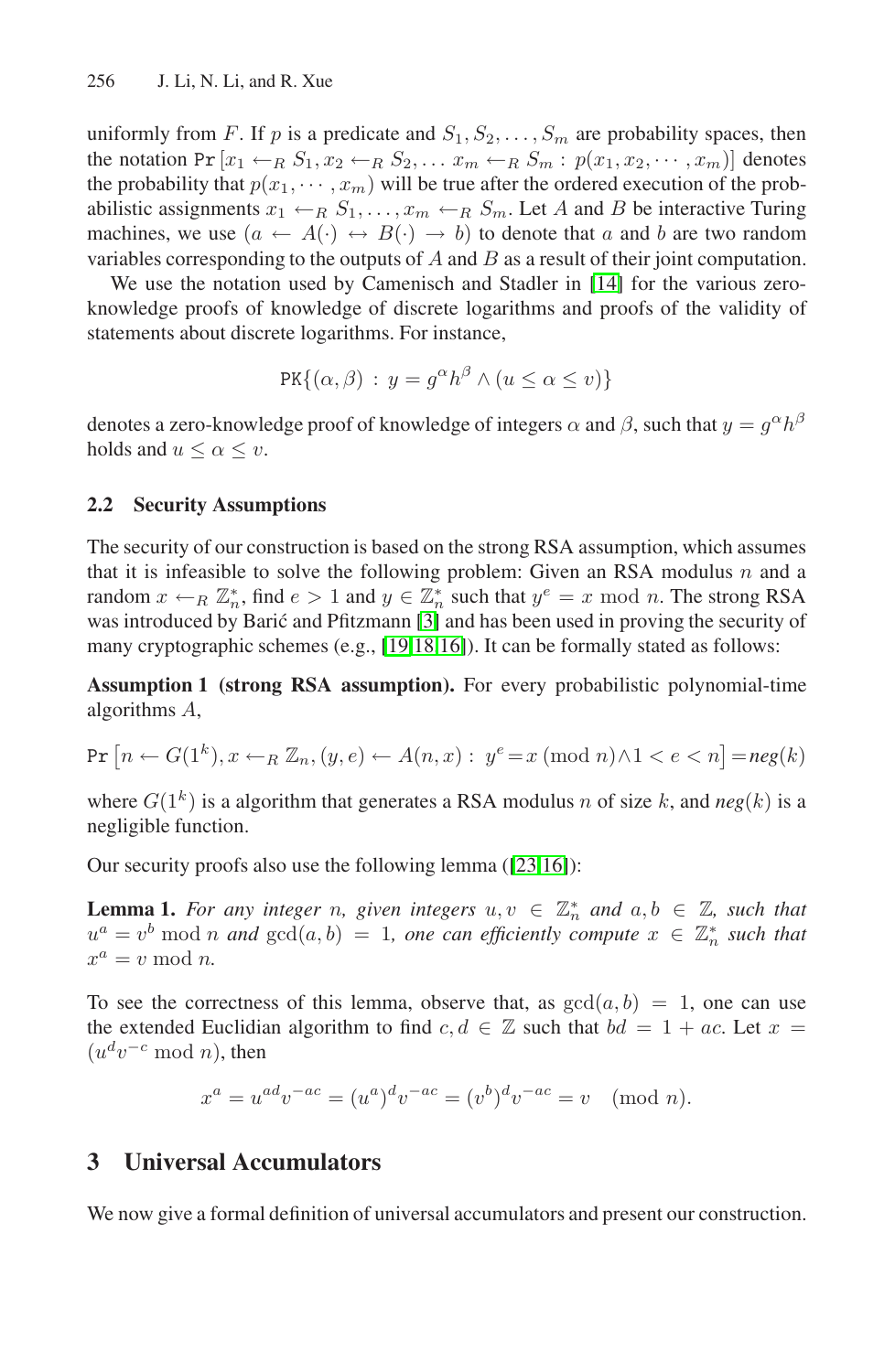uniformly from F. If p is a predicate and  $S_1, S_2, \ldots, S_m$  are probability spaces, then the notation Pr  $[x_1 \leftarrow_R S_1, x_2 \leftarrow_R S_2, \ldots x_m \leftarrow_R S_m : p(x_1, x_2, \cdots, x_m)]$  denotes the probability that  $p(x_1, \dots, x_m)$  will be true after the ordered execution of the probabilistic assignments  $x_1 \leftarrow_R S_1, \ldots, x_m \leftarrow_R S_m$ . Let A and B be interactive Turing machines, we use  $(a \leftarrow A(\cdot) \leftrightarrow B(\cdot) \rightarrow b)$  to denote that a and b are two random variables corresponding to the outputs of  $A$  and  $B$  as a result of their joint computation.

We use the notation used by Camenisch and Stadler in [14] for the various zeroknowledge proofs of knowledge of discrete logarithms and proofs of the validity of statements about discrete logarithms. For instance,

$$
PK\{(\alpha,\beta) \, : \, y = g^{\alpha}h^{\beta} \wedge (u \le \alpha \le v)\}
$$

denotes a zero-knowledge proof of knowledge of integers  $\alpha$  and  $\beta$ , such that  $y = g^{\alpha}h^{\beta}$ holds and  $u \leq \alpha \leq v$ .

#### **2.2 Security Assumptions**

The security of our construction is based on the strong RSA assumption, which assumes that it is infeasible to solve the following problem: Given an RSA modulus  $n$  and a random  $x \leftarrow_R \mathbb{Z}_n^*$ , find  $e > 1$  and  $y \in \mathbb{Z}_n^*$  such that  $y^e = x \mod n$ . The strong RSA was introduced by Barić and Pfitzmann [3] and has been used in proving the security of many cryptographic schemes (e.g., [19,18,16]). It can be formally stated as follows:

**Assumption 1 (strong RSA assumption).** For every probabilistic polynomial-time algorithms A,

$$
\Pr\left[n\leftarrow G(1^k), x\leftarrow_R \mathbb{Z}_n, (y,e)\leftarrow A(n,x): \; y^e\!=\!x \; (\text{mod } n) \land 1 < e < n\right] \!=\! \mathit{neg}(k)
$$

where  $G(1^k)$  is a algorithm that generates a RSA modulus n of size k, and  $neg(k)$  is a negligible function.

Our security proofs also use the following lemma ([23,16]):

**Lemma 1.** *For any integer n*, *given integers*  $u, v \in \mathbb{Z}_n^*$  *and*  $a, b \in \mathbb{Z}$ *, such that*  $u^a = v^b \bmod n$  and  $gcd(a, b) = 1$ , one can efficiently compute  $x \in \mathbb{Z}_n^*$  such that  $x^a = v \mod n$ .

To see the correctness of this lemma, observe that, as  $gcd(a, b) = 1$ , one can use the extended Euclidian algorithm to find  $c, d \in \mathbb{Z}$  such that  $bd = 1 + ac$ . Let  $x =$  $(u<sup>d</sup>v<sup>-c</sup> \mod n)$ , then

$$
x^{a} = u^{ad}v^{-ac} = (u^{a})^{d}v^{-ac} = (v^{b})^{d}v^{-ac} = v \pmod{n}.
$$

## **3 Universal Accumulators**

We now give a formal definition of universal accumulators and present our construction.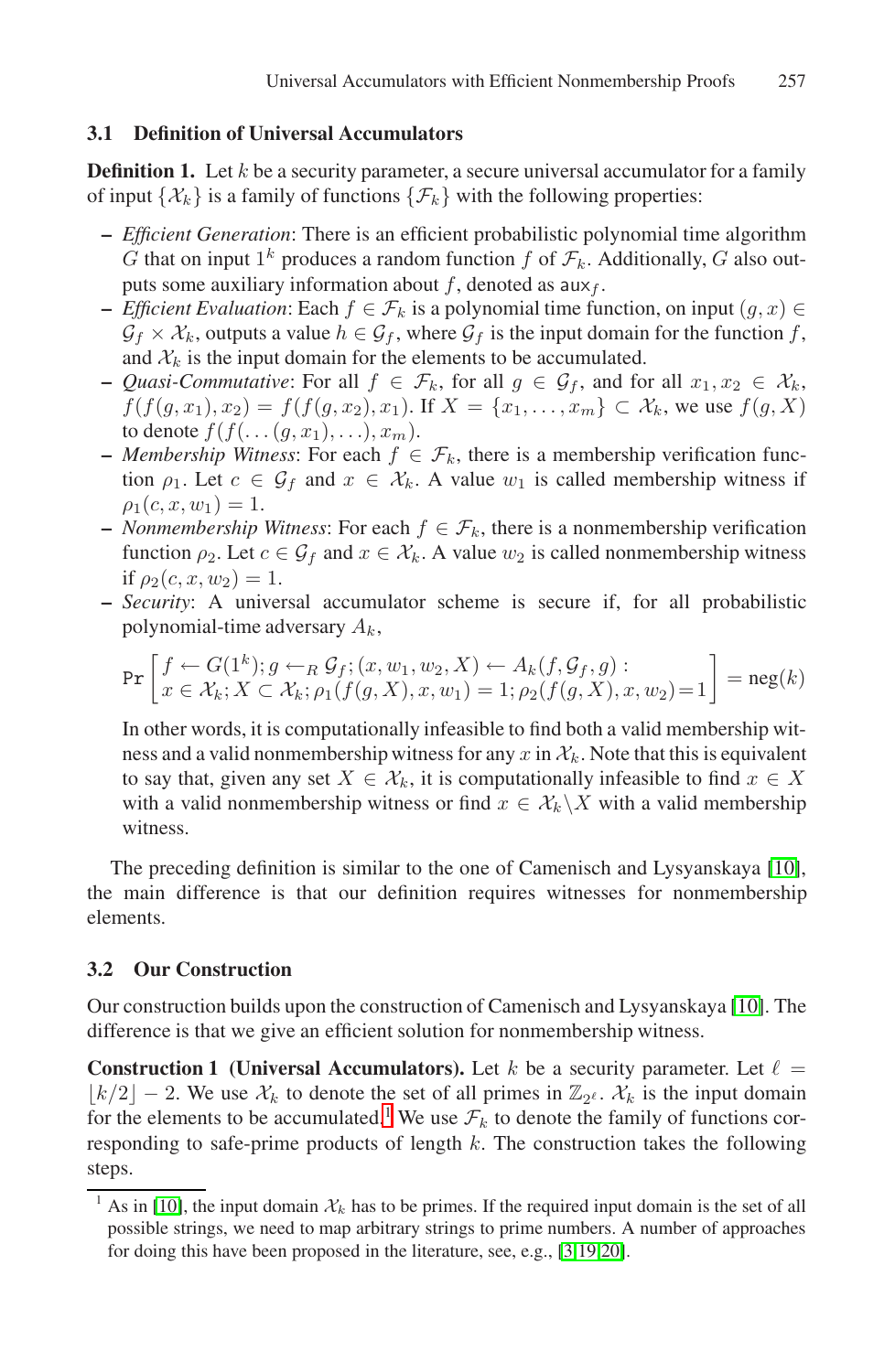#### **3.1 Definition of Universal Accumulators**

**Definition 1.** Let k be a security parameter, a secure universal accumulator for a family of input  $\{\mathcal{X}_k\}$  is a family of functions  $\{\mathcal{F}_k\}$  with the following properties:

- **–** *Efficient Generation*: There is an efficient probabilistic polynomial time algorithm G that on input  $1^k$  produces a random function f of  $\mathcal{F}_k$ . Additionally, G also outputs some auxiliary information about  $f$ , denoted as  $\mathsf{aux}_f$ .
- **–** *Efficient Evaluation*: Each  $f \in \mathcal{F}_k$  is a polynomial time function, on input  $(g, x)$  ∈  $\mathcal{G}_f \times \mathcal{X}_k$ , outputs a value  $h \in \mathcal{G}_f$ , where  $\mathcal{G}_f$  is the input domain for the function f, and  $X_k$  is the input domain for the elements to be accumulated.
- **–** *Quasi-Commutative*: For all  $f \in \mathcal{F}_k$ , for all  $g \in \mathcal{G}_f$ , and for all  $x_1, x_2 \in \mathcal{X}_k$ ,  $f(f(g, x_1), x_2) = f(f(g, x_2), x_1)$ . If  $X = \{x_1, \ldots, x_m\} \subset \mathcal{X}_k$ , we use  $f(g, X)$ to denote  $f(f(\ldots(g,x_1),\ldots), x_m)$ .
- **–** *Membership Witness*: For each  $f \in \mathcal{F}_k$ , there is a membership verification function  $\rho_1$ . Let  $c \in \mathcal{G}_f$  and  $x \in \mathcal{X}_k$ . A value  $w_1$  is called membership witness if  $\rho_1(c, x, w_1)=1.$
- **−** *Nonmembership Witness*: For each  $f \text{ ∈ } \mathcal{F}_k$ , there is a nonmembership verification function  $\rho_2$ . Let  $c \in \mathcal{G}_f$  and  $x \in \mathcal{X}_k$ . A value  $w_2$  is called nonmembership witness if  $\rho_2(c, x, w_2)=1$ .
- **–** *Security*: A universal accumulator scheme is secure if, for all probabilistic polynomial-time adversary  $A_k$ ,

$$
\Pr\left[f \leftarrow G(1^k); g \leftarrow_R \mathcal{G}_f; (x, w_1, w_2, X) \leftarrow A_k(f, \mathcal{G}_f, g): x \in \mathcal{X}_k; X \subset \mathcal{X}_k; \rho_1(f(g, X), x, w_1) = 1; \rho_2(f(g, X), x, w_2) = 1\right] = neg(k)
$$

In other words, it is computationally infeasible to find both a valid membership witness and a valid nonmembership witness for any x in  $X_k$ . Note that this is equivalent to say that, given any set  $X \in \mathcal{X}_k$ , it is computationally infeasible to find  $x \in X$ with a valid nonmembership witness or find  $x \in \mathcal{X}_k \backslash X$  with a valid membership witness.

The preceding definition is similar to the one of Camenisch and Lysyanskaya [10], the main difference is that our definition requires witnesses for nonmembership elements.

### **3.2 Our Construction**

Our construction builds upon the construction of Camenisch and Lysyanskaya [10]. The difference is that we give an efficient solution for nonmembership witness.

**Construction 1 (Universal Accumulators).** Let k be a security parameter. Let  $\ell =$  $\lfloor k/2 \rfloor - 2$ . We use  $\mathcal{X}_k$  to denote the set of all primes in  $\mathbb{Z}_{2^{\ell}}$ .  $\mathcal{X}_k$  is the input domain for the elements to be accumulated.<sup>1</sup> We use  $\mathcal{F}_k$  to denote the family of functions corresponding to safe-prime products of length  $k$ . The construction takes the following steps.

As in [10], the input domain  $\mathcal{X}_k$  has to be primes. If the required input domain is the set of all possible strings, we need to map arbitrary strings to prime numbers. A number of approaches for doing this have been proposed in the literature, see, e.g., [3,19,20].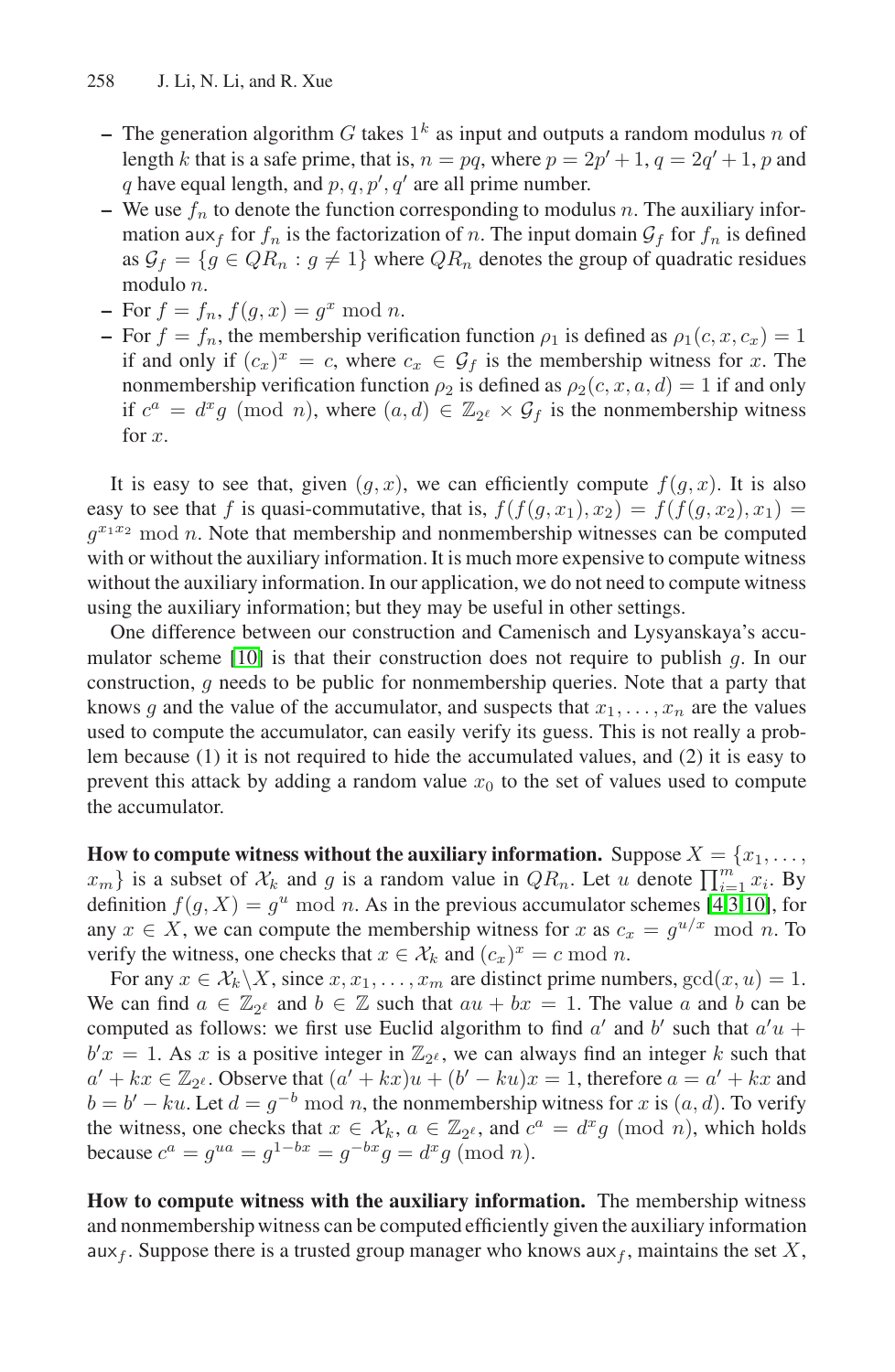- The generation algorithm G takes  $1^k$  as input and outputs a random modulus n of length k that is a safe prime, that is,  $n = pq$ , where  $p = 2p' + 1$ ,  $q = 2q' + 1$ , p and q have equal length, and  $p, q, p', q'$  are all prime number.
- We use  $f_n$  to denote the function corresponding to modulus n. The auxiliary information aux $_f$  for  $f_n$  is the factorization of n. The input domain  $\mathcal{G}_f$  for  $f_n$  is defined as  $\mathcal{G}_f = \{g \in QR_n : g \neq 1\}$  where  $QR_n$  denotes the group of quadratic residues modulo n.
- **–** For  $f = f_n$ ,  $f(g, x) = g^x \mod n$ .
- **–** For  $f = f_n$ , the membership verification function  $\rho_1$  is defined as  $\rho_1(c, x, c_x) = 1$ if and only if  $(c_x)^x = c$ , where  $c_x \in \mathcal{G}_f$  is the membership witness for x. The nonmembership verification function  $\rho_2$  is defined as  $\rho_2(c, x, a, d)=1$  if and only if  $c^a = d^x g \pmod{n}$ , where  $(a, d) \in \mathbb{Z}_{2^e} \times \mathcal{G}_f$  is the nonmembership witness for  $x$ .

It is easy to see that, given  $(q, x)$ , we can efficiently compute  $f(q, x)$ . It is also easy to see that f is quasi-commutative, that is,  $f(f(q,x_1), x_2) = f(f(q,x_2), x_1) =$  $g^{x_1x_2}$  mod n. Note that membership and nonmembership witnesses can be computed with or without the auxiliary information. It is much more expensive to compute witness without the auxiliary information. In our application, we do not need to compute witness using the auxiliary information; but they may be useful in other settings.

One difference between our construction and Camenisch and Lysyanskaya's accumulator scheme [10] is that their construction does not require to publish  $g$ . In our construction, g needs to be public for nonmembership queries. Note that a party that knows g and the value of the accumulator, and suspects that  $x_1, \ldots, x_n$  are the values used to compute the accumulator, can easily verify its guess. This is not really a problem because (1) it is not required to hide the accumulated values, and (2) it is easy to prevent this attack by adding a random value  $x_0$  to the set of values used to compute the accumulator.

**How to compute witness without the auxiliary information.** Suppose  $X = \{x_1, \ldots, x_n\}$  $x_m$ } is a subset of  $\mathcal{X}_k$  and g is a random value in  $QR_n$ . Let u denote  $\prod_{i=1}^m x_i$ . By definition  $f(g, X) = g^u \mod n$ . As in the previous accumulator schemes [4,3,10], for any  $x \in X$ , we can compute the membership witness for x as  $c_x = g^{u/x} \mod n$ . To verify the witness, one checks that  $x \in \mathcal{X}_k$  and  $(c_x)^x = c \mod n$ .

For any  $x \in \mathcal{X}_k \backslash X$ , since  $x, x_1, \ldots, x_m$  are distinct prime numbers,  $gcd(x, u) = 1$ . We can find  $a \in \mathbb{Z}_{2^e}$  and  $b \in \mathbb{Z}$  such that  $au + bx = 1$ . The value a and b can be computed as follows: we first use Euclid algorithm to find  $a'$  and  $b'$  such that  $a'u$  +  $b'x = 1$ . As x is a positive integer in  $\mathbb{Z}_{2^{\ell}}$ , we can always find an integer k such that  $a' + kx \in \mathbb{Z}_{2^{\ell}}$ . Observe that  $(a' + kx)u + (b' - ku)x = 1$ , therefore  $a = a' + kx$  and  $b = b' - ku$ . Let  $d = g^{-b} \mod n$ , the nonmembership witness for x is  $(a, d)$ . To verify the witness, one checks that  $x \in \mathcal{X}_k$ ,  $a \in \mathbb{Z}_{2^\ell}$ , and  $c^a = d^x g \pmod{n}$ , which holds because  $c^a = g^{ua} = g^{1-bx} = g^{-bx}g = d^x g \pmod{n}$ .

**How to compute witness with the auxiliary information.** The membership witness and nonmembership witness can be computed efficiently given the auxiliary information aux<sub>f</sub>. Suppose there is a trusted group manager who knows aux<sub>f</sub>, maintains the set X,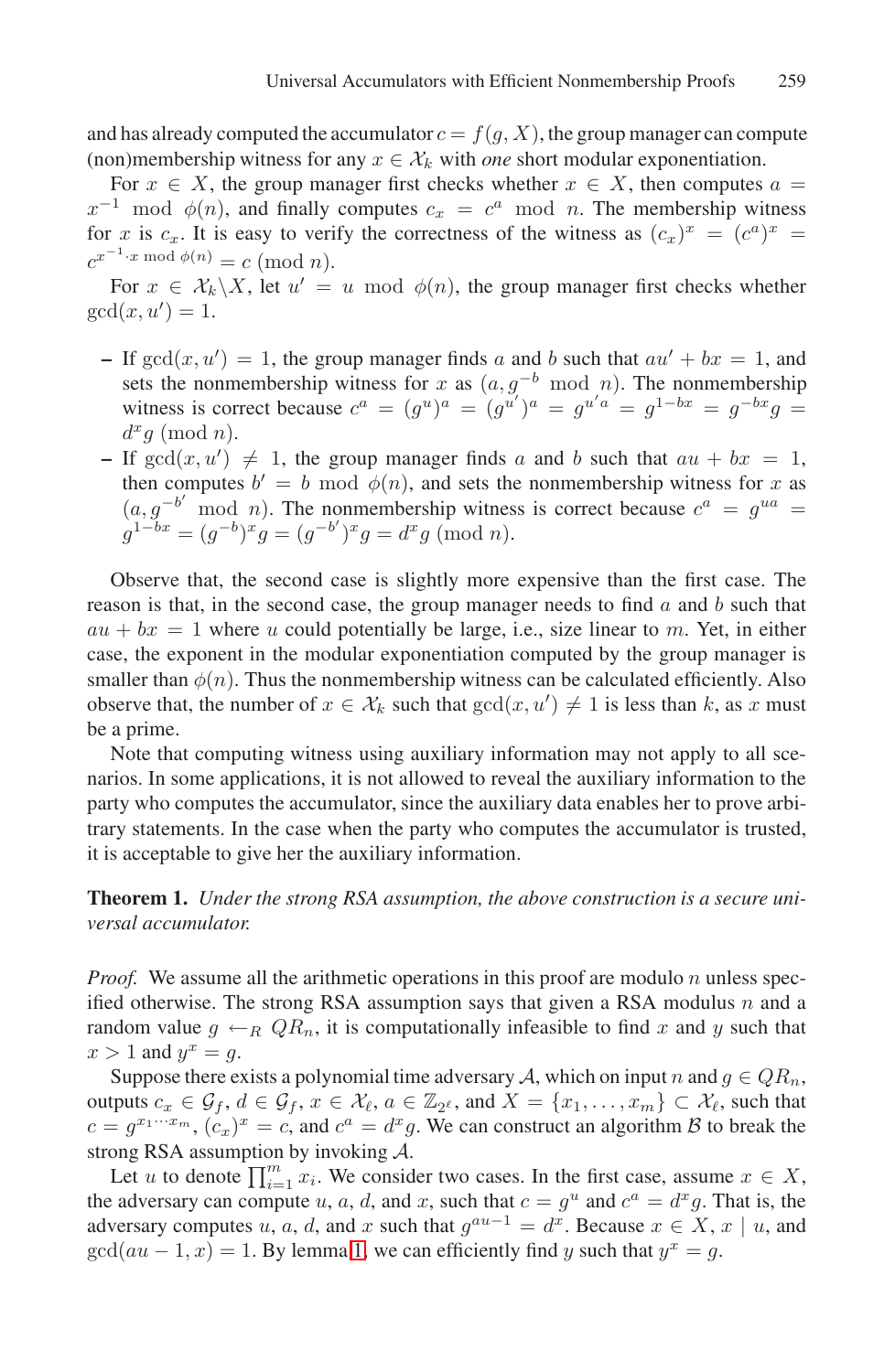and has already computed the accumulator  $c = f(q, X)$ , the group manager can compute (non)membership witness for any  $x \in \mathcal{X}_k$  with *one* short modular exponentiation.

For  $x \in X$ , the group manager first checks whether  $x \in X$ , then computes  $a =$  $x^{-1}$  mod  $\phi(n)$ , and finally computes  $c_x = c^a$  mod n. The membership witness for x is  $c_x$ . It is easy to verify the correctness of the witness as  $(c_x)^x = (c^a)^x = c^a$  $c^{x^{-1} \cdot x \mod \phi(n)} = c \pmod{n}.$ 

For  $x \in \mathcal{X}_k \backslash X$ , let  $u' = u \mod \phi(n)$ , the group manager first checks whether  $gcd(x, u') = 1.$ 

- **–** If  $gcd(x, u') = 1$ , the group manager finds a and b such that  $au' + bx = 1$ , and sets the nonmembership witness for x as  $(a, g^{-b} \mod n)$ . The nonmembership witness is correct because  $c^a = (g^u)^a = (g^{u'})^a = g^{u'a'} = g^{1-bx} = g^{-bx}g =$  $d^xq \pmod{n}$ .
- **–** If  $gcd(x, u') \neq 1$ , the group manager finds a and b such that  $au + bx = 1$ , then computes  $b' = b \mod \phi(n)$ , and sets the nonmembership witness for x as  $(a, g^{-b'} \mod n)$ . The nonmembership witness is correct because  $c^a = g^{ua} =$  $g^{1-bx} = (g^{-b})^x g = (g^{-b'})^x g = d^x g \pmod{n}.$

Observe that, the second case is slightly more expensive than the first case. The reason is that, in the second case, the group manager needs to find  $a$  and  $b$  such that  $au + bx = 1$  where u could potentially be large, i.e., size linear to m. Yet, in either case, the exponent in the modular exponentiation computed by the group manager is smaller than  $\phi(n)$ . Thus the nonmembership witness can be calculated efficiently. Also observe that, the number of  $x \in \mathcal{X}_k$  such that  $gcd(x, u') \neq 1$  is less than k, as x must be a prime.

Note that computing witness using auxiliary information may not apply to all scenarios. In some applications, it is not allowed to reveal the auxiliary information to the party who computes the accumulator, since the auxiliary data enables her to prove arbitrary statements. In the case when the party who computes the accumulator is trusted, it is acceptable to give her the auxiliary information.

**Theorem 1.** *Under the strong RSA assumption, the above construction is a secure universal accumulator.*

*Proof.* We assume all the arithmetic operations in this proof are modulo n unless specified otherwise. The strong RSA assumption says that given a RSA modulus  $n$  and a random value  $g \leftarrow_R QR_n$ , it is computationally infeasible to find x and y such that  $x > 1$  and  $y^x = g$ .

Suppose there exists a polynomial time adversary A, which on input n and  $g \in QR_n$ , outputs  $c_x \in \mathcal{G}_f$ ,  $d \in \mathcal{G}_f$ ,  $x \in \mathcal{X}_\ell$ ,  $a \in \mathbb{Z}_{2^\ell}$ , and  $X = \{x_1, \ldots, x_m\} \subset \mathcal{X}_\ell$ , such that  $c = g^{x_1 \cdots x_m}$ ,  $(c_x)^x = c$ , and  $c^a = d^x g$ . We can construct an algorithm B to break the strong RSA assumption by invoking A.

Let u to denote  $\prod_{i=1}^m x_i$ . We consider two cases. In the first case, assume  $x \in X$ , the adversary can compute u, a, d, and x, such that  $c = g^u$  and  $c^a = d^x g$ . That is, the adversary computes u, a, d, and x such that  $g^{au-1} = d^x$ . Because  $x \in X$ ,  $x \mid u$ , and  $gcd(au - 1, x) = 1$ . By lemma 1, we can efficiently find y such that  $y^x = g$ .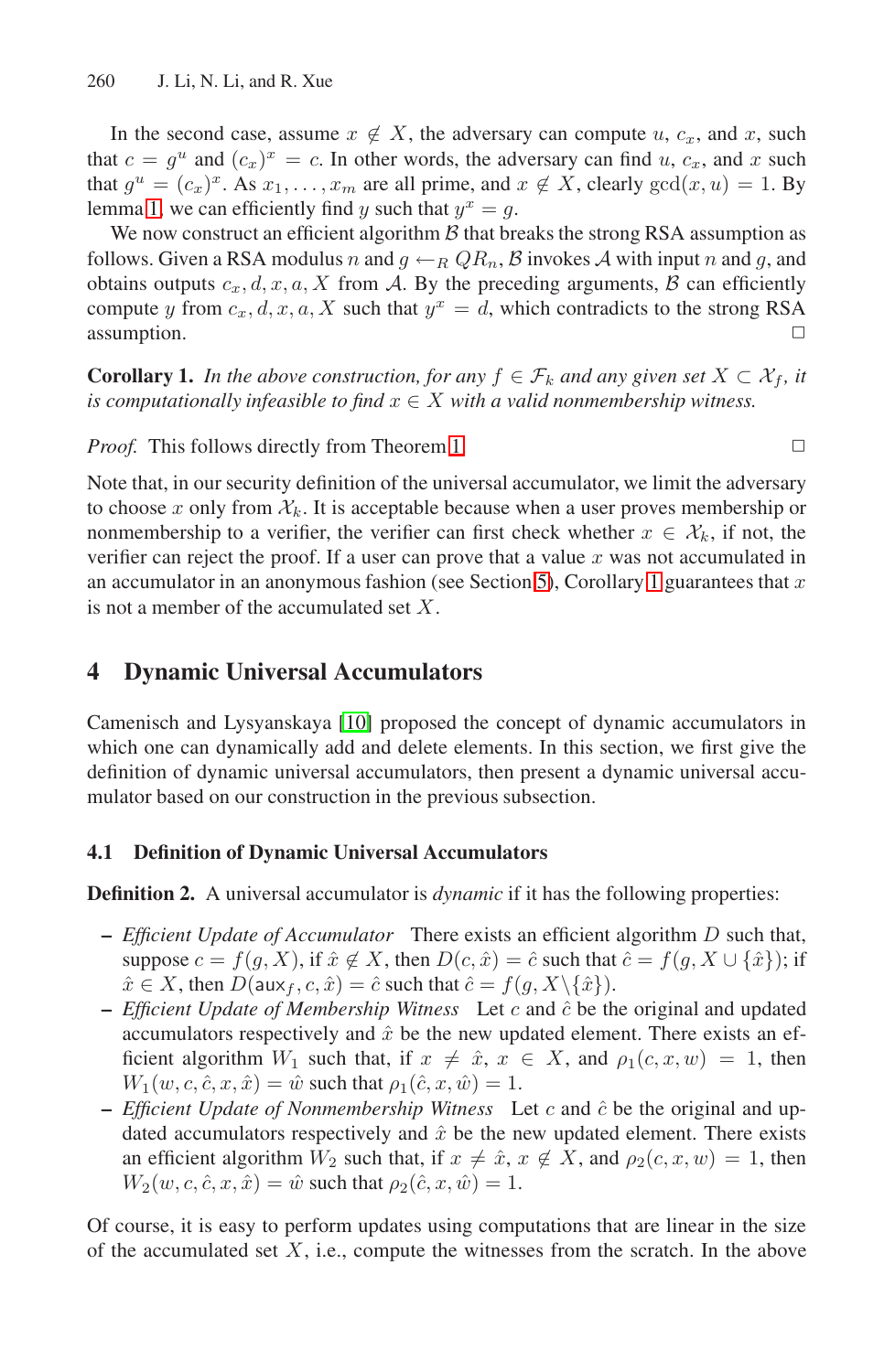In the second case, assume  $x \notin X$ , the adversary can compute u,  $c_x$ , and x, such that  $c = g^u$  and  $(c_x)^x = c$ . In other words, the adversary can find u,  $c_x$ , and x such that  $g^u = (c_x)^x$ . As  $x_1, \ldots, x_m$  are all prime, and  $x \notin X$ , clearly  $gcd(x, u) = 1$ . By lemma 1, we can efficiently find y such that  $y^x = g$ .

We now construct an efficient algorithm  $\beta$  that breaks the strong RSA assumption as follows. Given a RSA modulus n and  $g \leftarrow_R QR_n$ , B invokes A with input n and g, and obtains outputs  $c_x, d, x, a, X$  from A. By the preceding arguments, B can efficiently compute y from  $c_x, d, x, a, X$  such that  $y^x = d$ , which contradicts to the strong RSA  $\Box$  assumption.  $\Box$ 

**Corollary 1.** *In the above construction, for any*  $f \in \mathcal{F}_k$  *and any given set*  $X \subset \mathcal{X}_f$ *, it is computationally infeasible to find*  $x \in X$  *with a valid nonmembership witness.* 

*Proof.* This follows directly from Theorem 1. □

Note that, in our security definition of the universal accumulator, we limit the adversary to choose x only from  $\mathcal{X}_k$ . It is acceptable because when a user proves membership or nonmembership to a verifier, the verifier can first check whether  $x \in \mathcal{X}_k$ , if not, the verifier can reject the proof. If a user can prove that a value  $x$  was not accumulated in an accumulator in an anonymous fashion (see Section 5), Corollary 1 guarantees that  $x$ is not a member of the accumulated set  $X$ .

## **4 Dynamic Universal Accumulators**

Camenisch and Lysyanskaya [10] proposed the concept of dynamic accumulators in which one can dynamically add and delete elements. In this section, we first give the definition of dynamic universal accumulators, then present a dynamic universal accumulator based on our construction in the previous subsection.

### **4.1 Definition of Dynamic Universal Accumulators**

**Definition 2.** A universal accumulator is *dynamic* if it has the following properties:

- **–** *Efficient Update of Accumulator* There exists an efficient algorithm D such that, suppose  $c = f(g, X)$ , if  $\hat{x} \notin X$ , then  $D(c, \hat{x}) = \hat{c}$  such that  $\hat{c} = f(g, X \cup {\hat{x}})$ ; if  $\hat{x} \in X$ , then  $D(\text{aux}_f, c, \hat{x}) = \hat{c}$  such that  $\hat{c} = f(g, X \setminus {\{\hat{x}\}})$ .
- **−** *Efficient Update of Membership Witness* Let *c* and  $\hat{c}$  be the original and updated accumulators respectively and  $\hat{x}$  be the new updated element. There exists an efficient algorithm  $W_1$  such that, if  $x \neq \hat{x}$ ,  $x \in X$ , and  $\rho_1(c, x, w) = 1$ , then  $W_1(w, c, \hat{c}, x, \hat{x}) = \hat{w}$  such that  $\rho_1(\hat{c}, x, \hat{w})=1$ .
- **–** *Efficient Update of Nonmembership Witness* Let c and cˆ be the original and updated accumulators respectively and  $\hat{x}$  be the new updated element. There exists an efficient algorithm  $W_2$  such that, if  $x \neq \hat{x}$ ,  $x \notin X$ , and  $\rho_2(c, x, w) = 1$ , then  $W_2(w, c, \hat{c}, x, \hat{x}) = \hat{w}$  such that  $\rho_2(\hat{c}, x, \hat{w})=1$ .

Of course, it is easy to perform updates using computations that are linear in the size of the accumulated set  $X$ , i.e., compute the witnesses from the scratch. In the above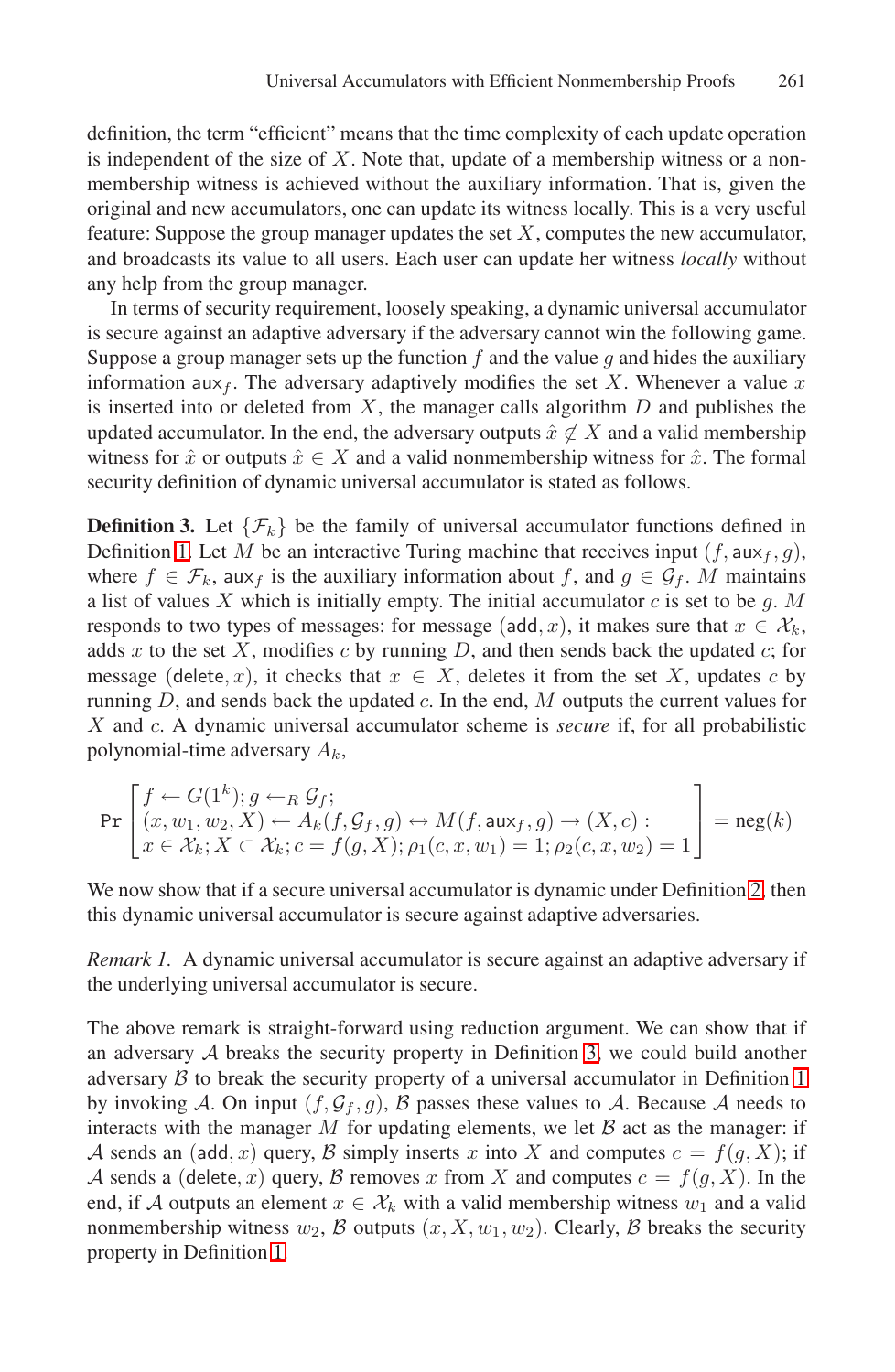definition, the term "efficient" means that the time complexity of each update operation is independent of the size of  $X$ . Note that, update of a membership witness or a nonmembership witness is achieved without the auxiliary information. That is, given the original and new accumulators, one can update its witness locally. This is a very useful feature: Suppose the group manager updates the set  $X$ , computes the new accumulator, and broadcasts its value to all users. Each user can update her witness *locally* without any help from the group manager.

In terms of security requirement, loosely speaking, a dynamic universal accumulator is secure against an adaptive adversary if the adversary cannot win the following game. Suppose a group manager sets up the function  $f$  and the value  $g$  and hides the auxiliary information aux $_f$ . The adversary adaptively modifies the set X. Whenever a value x is inserted into or deleted from  $X$ , the manager calls algorithm  $D$  and publishes the updated accumulator. In the end, the adversary outputs  $\hat{x} \notin X$  and a valid membership witness for  $\hat{x}$  or outputs  $\hat{x} \in X$  and a valid nonmembership witness for  $\hat{x}$ . The formal security definition of dynamic universal accumulator is stated as follows.

**Definition 3.** Let  $\{\mathcal{F}_k\}$  be the family of universal accumulator functions defined in Definition 1. Let M be an interactive Turing machine that receives input  $(f, aux_f, g)$ , where  $f \in \mathcal{F}_k$ , aux<sub>f</sub> is the auxiliary information about f, and  $g \in \mathcal{G}_f$ . M maintains a list of values X which is initially empty. The initial accumulator  $c$  is set to be  $g$ . M responds to two types of messages: for message (add, x), it makes sure that  $x \in \mathcal{X}_k$ , adds x to the set X, modifies c by running  $D$ , and then sends back the updated  $c$ ; for message (delete, x), it checks that  $x \in X$ , deletes it from the set X, updates c by running  $D$ , and sends back the updated  $c$ . In the end,  $M$  outputs the current values for X and c. A dynamic universal accumulator scheme is *secure* if, for all probabilistic polynomial-time adversary  $A_k$ ,

$$
\Pr\left[\begin{matrix} f \leftarrow G(1^k); g \leftarrow_R \mathcal{G}_f; \\ (x, w_1, w_2, X) \leftarrow A_k(f, \mathcal{G}_f, g) \leftrightarrow M(f, \text{aux}_f, g) \to (X, c): \\ x \in \mathcal{X}_k; X \subset \mathcal{X}_k; c = f(g, X); \rho_1(c, x, w_1) = 1; \rho_2(c, x, w_2) = 1 \end{matrix}\right] = \text{neg}(k)
$$

We now show that if a secure universal accumulator is dynamic under Definition 2, then this dynamic universal accumulator is secure against adaptive adversaries.

*Remark 1.* A dynamic universal accumulator is secure against an adaptive adversary if the underlying universal accumulator is secure.

The above remark is straight-forward using reduction argument. We can show that if an adversary  $A$  breaks the security property in Definition 3, we could build another adversary  $B$  to break the security property of a universal accumulator in Definition 1 by invoking A. On input  $(f, \mathcal{G}_f, g)$ , B passes these values to A. Because A needs to interacts with the manager  $M$  for updating elements, we let  $B$  act as the manager: if A sends an (add, x) query, B simply inserts x into X and computes  $c = f(g, X)$ ; if A sends a (delete, x) query, B removes x from X and computes  $c = f(g, X)$ . In the end, if A outputs an element  $x \in \mathcal{X}_k$  with a valid membership witness  $w_1$  and a valid nonmembership witness  $w_2$ ,  $\beta$  outputs  $(x, X, w_1, w_2)$ . Clearly,  $\beta$  breaks the security property in Definition 1.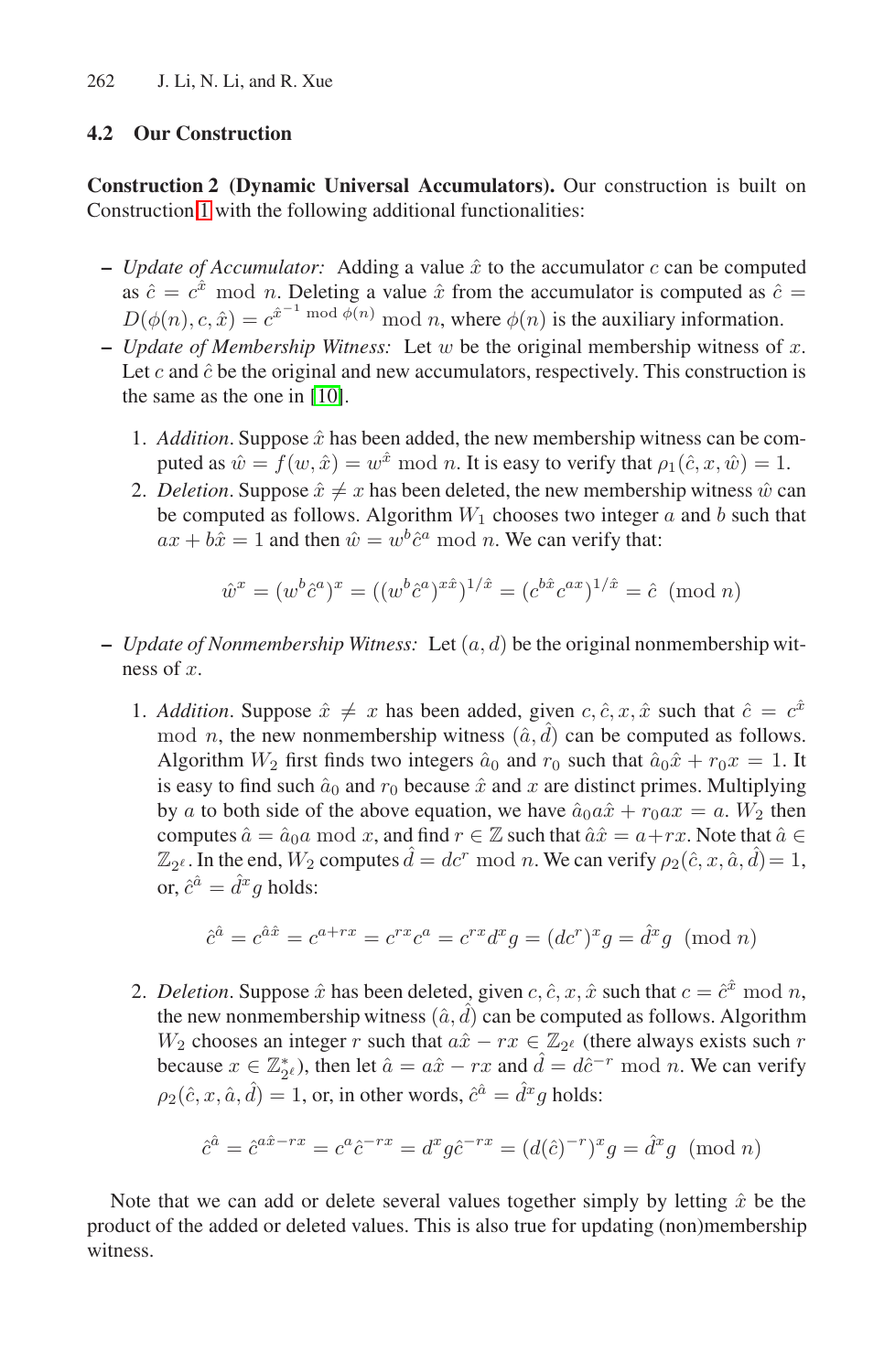#### **4.2 Our Construction**

**Construction 2 (Dynamic Universal Accumulators).** Our construction is built on Construction 1 with the following additional functionalities:

- $\sim$  *Update of Accumulator:* Adding a value  $\hat{x}$  to the accumulator c can be computed as  $\hat{c} = c^{\hat{x}}$  mod *n*. Deleting a value  $\hat{x}$  from the accumulator is computed as  $\hat{c} =$  $D(\phi(n), c, \hat{x}) = c^{\hat{x}^{-1} \bmod{\phi(n)}} \mod n$ , where  $\phi(n)$  is the auxiliary information.
- **–** *Update of Membership Witness:* Let w be the original membership witness of x. Let c and  $\hat{c}$  be the original and new accumulators, respectively. This construction is the same as the one in [10].
	- 1. *Addition*. Suppose  $\hat{x}$  has been added, the new membership witness can be computed as  $\hat{w} = f(w, \hat{x}) = w^{\hat{x}} \mod n$ . It is easy to verify that  $\rho_1(\hat{c}, x, \hat{w}) = 1$ .
	- 2. *Deletion*. Suppose  $\hat{x} \neq x$  has been deleted, the new membership witness  $\hat{w}$  can be computed as follows. Algorithm  $W_1$  chooses two integer  $a$  and  $b$  such that  $ax + b\hat{x} = 1$  and then  $\hat{w} = w^b \hat{c}^a \mod n$ . We can verify that:

$$
\hat{w}^x = (w^b \hat{c}^a)^x = ((w^b \hat{c}^a)^{x \hat{x}})^{1/\hat{x}} = (c^{b \hat{x}} c^{ax})^{1/\hat{x}} = \hat{c} \pmod{n}
$$

- **–** *Update of Nonmembership Witness:* Let (a, d) be the original nonmembership witness of  $x$ .
	- 1. *Addition*. Suppose  $\hat{x} \neq x$  has been added, given  $c, \hat{c}, x, \hat{x}$  such that  $\hat{c} = c^{\hat{x}}$ mod *n*, the new nonmembership witness  $(\hat{a}, \hat{d})$  can be computed as follows. Algorithm  $W_2$  first finds two integers  $\hat{a}_0$  and  $r_0$  such that  $\hat{a}_0\hat{x} + r_0x = 1$ . It is easy to find such  $\hat{a}_0$  and  $r_0$  because  $\hat{x}$  and x are distinct primes. Multiplying by a to both side of the above equation, we have  $\hat{a}_0 a x + r_0 a x = a$ .  $W_2$  then computes  $\hat{a} = \hat{a}_0 a \mod x$ , and find  $r \in \mathbb{Z}$  such that  $\hat{a}\hat{x} = a + rx$ . Note that  $\hat{a} \in \mathbb{Z}$  $\mathbb{Z}_{2^{\ell}}$ . In the end,  $W_2$  computes  $\hat{d} = dc^r \bmod n$ . We can verify  $\rho_2(\hat{c}, x, \hat{a}, \hat{d}) = 1$ , or,  $\hat{c}^{\hat{a}} = \hat{d}^x q$  holds:

$$
\hat{c}^{\hat{a}} = c^{\hat{a}\hat{x}} = c^{a+rx} = c^{rx}c^a = c^{rx}d^xg = (dc^r)^xg = \hat{d}^xg \pmod{n}
$$

2. *Deletion*. Suppose  $\hat{x}$  has been deleted, given  $c, \hat{c}, x, \hat{x}$  such that  $c = \hat{c}^{\hat{x}}$  mod n, the new nonmembership witness  $(\hat{a}, \hat{d})$  can be computed as follows. Algorithm W<sub>2</sub> chooses an integer r such that  $a\hat{x} - rx \in \mathbb{Z}_{2^{\ell}}$  (there always exists such r because  $x \in \mathbb{Z}_{2^{\ell}}^*$ , then let  $\hat{a} = a\hat{x} - rx$  and  $\hat{d} = d\hat{c}^{-r} \mod n$ . We can verify  $\rho_2(\hat{c}, x, \hat{a}, \hat{d}) = 1$ , or, in other words,  $\hat{c}^{\hat{a}} = \hat{d}^x g$  holds:

$$
\hat{c}^{\hat{a}} = \hat{c}^{a\hat{x}-rx} = c^a \hat{c}^{-rx} = d^x g \hat{c}^{-rx} = (d(\hat{c})^{-r})^x g = \hat{d}^x g \pmod{n}
$$

Note that we can add or delete several values together simply by letting  $\hat{x}$  be the product of the added or deleted values. This is also true for updating (non)membership witness.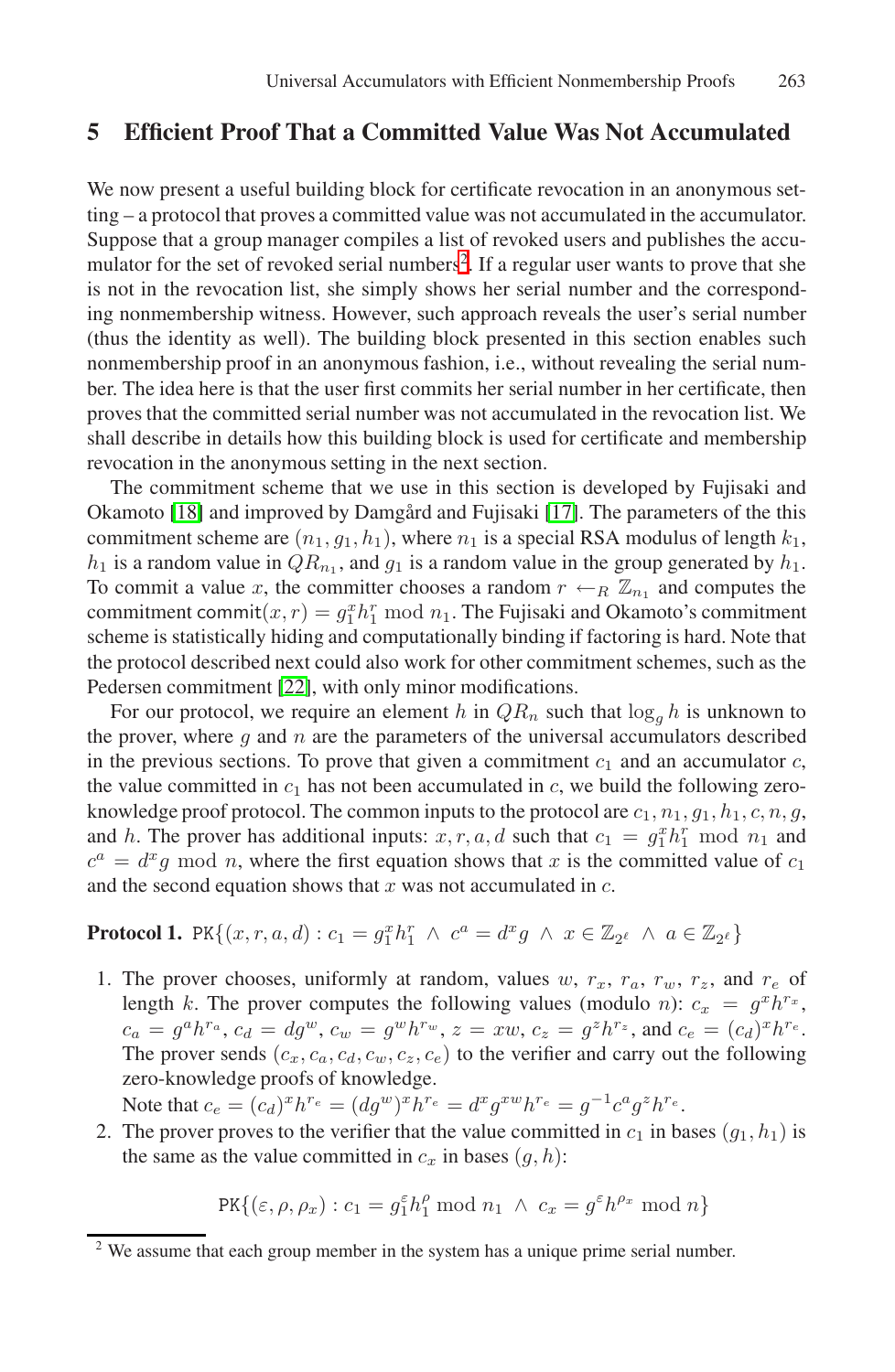#### **5 Efficient Proof That a Committed Value Was Not Accumulated**

We now present a useful building block for certificate revocation in an anonymous setting – a protocol that proves a committed value was not accumulated in the accumulator. Suppose that a group manager compiles a list of revoked users and publishes the accumulator for the set of revoked serial numbers<sup>2</sup>. If a regular user wants to prove that she is not in the revocation list, she simply shows her serial number and the corresponding nonmembership witness. However, such approach reveals the user's serial number (thus the identity as well). The building block presented in this section enables such nonmembership proof in an anonymous fashion, i.e., without revealing the serial number. The idea here is that the user first commits her serial number in her certificate, then proves that the committed serial number was not accumulated in the revocation list. We shall describe in details how this building block is used for certificate and membership revocation in the anonymous setting in the next section.

The commitment scheme that we use in this section is developed by Fujisaki and Okamoto [18] and improved by Damgård and Fujisaki [17]. The parameters of the this commitment scheme are  $(n_1, q_1, h_1)$ , where  $n_1$  is a special RSA modulus of length  $k_1$ ,  $h_1$  is a random value in  $QR_{n_1}$ , and  $g_1$  is a random value in the group generated by  $h_1$ . To commit a value x, the committer chooses a random  $r \leftarrow_R \mathbb{Z}_{n_1}$  and computes the commitment commit $(x, r) = g_1^x h_1^r \bmod n_1$ . The Fujisaki and Okamoto's commitment scheme is statistically hiding and computationally binding if factoring is hard. Note that the protocol described next could also work for other commitment schemes, such as the Pedersen commitment [22], with only minor modifications.

For our protocol, we require an element h in  $QR_n$  such that  $\log_a h$  is unknown to the prover, where  $q$  and  $n$  are the parameters of the universal accumulators described in the previous sections. To prove that given a commitment  $c_1$  and an accumulator  $c$ , the value committed in  $c_1$  has not been accumulated in  $c$ , we build the following zeroknowledge proof protocol. The common inputs to the protocol are  $c_1$ ,  $n_1$ ,  $g_1$ ,  $h_1$ ,  $c$ ,  $n$ ,  $g$ , and h. The prover has additional inputs:  $x, r, a, d$  such that  $c_1 = g_1^x h_1^r \mod n_1$  and  $c^a = d^x q$  mod n, where the first equation shows that x is the committed value of  $c_1$ and the second equation shows that  $x$  was not accumulated in  $c$ .

# **Protocol 1.** PK $\{(x, r, a, d) : c_1 = g_1^x h_1^r \land c^a = d^x g \land x \in \mathbb{Z}_{2^{\ell}} \land a \in \mathbb{Z}_{2^{\ell}}\}$

1. The prover chooses, uniformly at random, values w,  $r_x$ ,  $r_a$ ,  $r_w$ ,  $r_z$ , and  $r_e$  of length k. The prover computes the following values (modulo n):  $c_x = g^x h^{r_x}$ ,  $c_a = g^a h^{r_a}, c_d = dg^w, c_w = g^w h^{r_w}, z = xw, c_z = g^z h^{r_z},$  and  $c_e = (c_d)^x h^{r_e}.$ The prover sends  $(c_x, c_a, c_d, c_w, c_z, c_e)$  to the verifier and carry out the following zero-knowledge proofs of knowledge.

Note that  $c_e = (c_d)^x h^{r_e} = (dg^w)^x h^{r_e} = d^x g^{xw} h^{r_e} = g^{-1} c^a g^z h^{r_e}$ .

2. The prover proves to the verifier that the value committed in  $c_1$  in bases  $(q_1, h_1)$  is the same as the value committed in  $c_x$  in bases  $(q, h)$ :

$$
\texttt{PK}\{(\varepsilon,\rho,\rho_x):c_1=g_1^{\varepsilon}h_1^{\rho}\bmod n_1~\wedge~c_x=g^{\varepsilon}h^{\rho_x}\bmod n\}
$$

 $2$  We assume that each group member in the system has a unique prime serial number.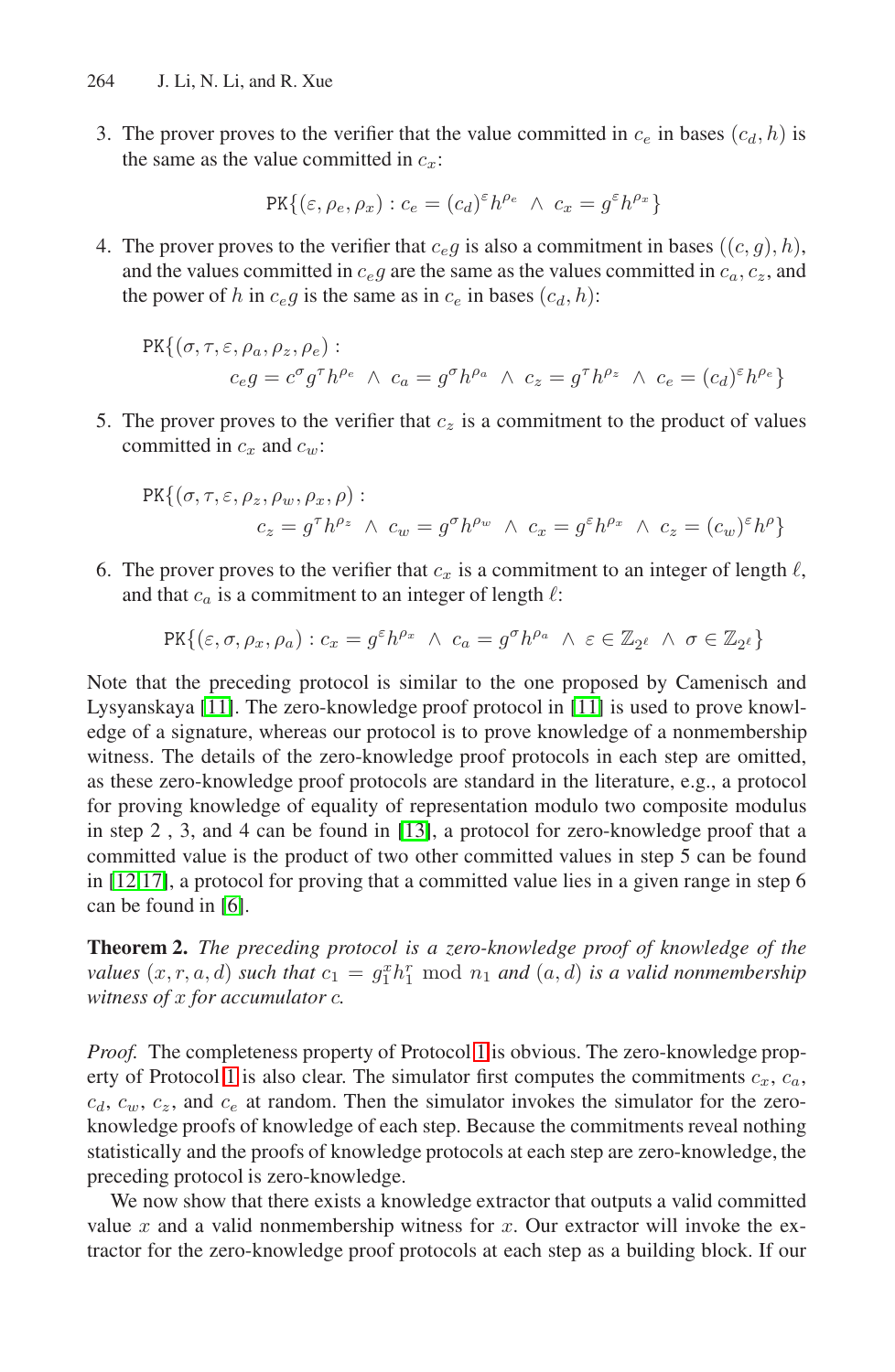3. The prover proves to the verifier that the value committed in  $c_e$  in bases  $(c_d, h)$  is the same as the value committed in  $c<sub>x</sub>$ :

$$
PK\{(\varepsilon,\rho_e,\rho_x):c_e=(c_d)^{\varepsilon}h^{\rho_e}\ \wedge\ c_x=g^{\varepsilon}h^{\rho_x}\}
$$

4. The prover proves to the verifier that  $c_{e}g$  is also a commitment in bases  $((c, g), h)$ , and the values committed in  $c_{e}g$  are the same as the values committed in  $c_{a}, c_{z}$ , and the power of h in  $c_{e}g$  is the same as in  $c_{e}$  in bases  $(c_{d}, h)$ :

$$
\begin{aligned} \mathrm{PK}\{ (\sigma,\tau,\varepsilon,\rho_a,\rho_z,\rho_e): \\ c_e g = c^\sigma g^\tau h^{\rho_e} \ \wedge \ c_a = g^\sigma h^{\rho_a} \ \wedge \ c_z = g^\tau h^{\rho_z} \ \wedge \ c_e = (c_d)^\varepsilon h^{\rho_e} \} \end{aligned}
$$

5. The prover proves to the verifier that  $c<sub>z</sub>$  is a commitment to the product of values committed in  $c_x$  and  $c_w$ :

$$
PK\{(\sigma,\tau,\varepsilon,\rho_z,\rho_w,\rho_x,\rho):
$$
  

$$
c_z = g^{\tau}h^{\rho_z} \ \wedge \ c_w = g^{\sigma}h^{\rho_w} \ \wedge \ c_x = g^{\varepsilon}h^{\rho_x} \ \wedge \ c_z = (c_w)^{\varepsilon}h^{\rho}\}
$$

6. The prover proves to the verifier that  $c_x$  is a commitment to an integer of length  $\ell$ , and that  $c_a$  is a commitment to an integer of length  $\ell$ :

$$
PK\{(\varepsilon,\sigma,\rho_x,\rho_a):c_x=g^\varepsilon h^{\rho_x} \;\wedge\; c_a=g^\sigma h^{\rho_a} \;\wedge\; \varepsilon\in\mathbb{Z}_{2^\ell} \;\wedge\; \sigma\in\mathbb{Z}_{2^\ell}\}
$$

Note that the preceding protocol is similar to the one proposed by Camenisch and Lysyanskaya [11]. The zero-knowledge proof protocol in [11] is used to prove knowledge of a signature, whereas our protocol is to prove knowledge of a nonmembership witness. The details of the zero-knowledge proof protocols in each step are omitted, as these zero-knowledge proof protocols are standard in the literature, e.g., a protocol for proving knowledge of equality of representation modulo two composite modulus in step 2 , 3, and 4 can be found in [13], a protocol for zero-knowledge proof that a committed value is the product of two other committed values in step 5 can be found in [12,17], a protocol for proving that a committed value lies in a given range in step 6 can be found in [6].

**Theorem 2.** *The preceding protocol is a zero-knowledge proof of knowledge of the values*  $(x, r, a, d)$  *such that*  $c_1 = g_1^x h_1^r \mod n_1$  *and*  $(a, d)$  *is a valid nonmembership witness of* x *for accumulator* c*.*

*Proof.* The completeness property of Protocol 1 is obvious. The zero-knowledge property of Protocol 1 is also clear. The simulator first computes the commitments  $c_x$ ,  $c_a$ ,  $c_d$ ,  $c_w$ ,  $c_z$ , and  $c_e$  at random. Then the simulator invokes the simulator for the zeroknowledge proofs of knowledge of each step. Because the commitments reveal nothing statistically and the proofs of knowledge protocols at each step are zero-knowledge, the preceding protocol is zero-knowledge.

We now show that there exists a knowledge extractor that outputs a valid committed value  $x$  and a valid nonmembership witness for  $x$ . Our extractor will invoke the extractor for the zero-knowledge proof protocols at each step as a building block. If our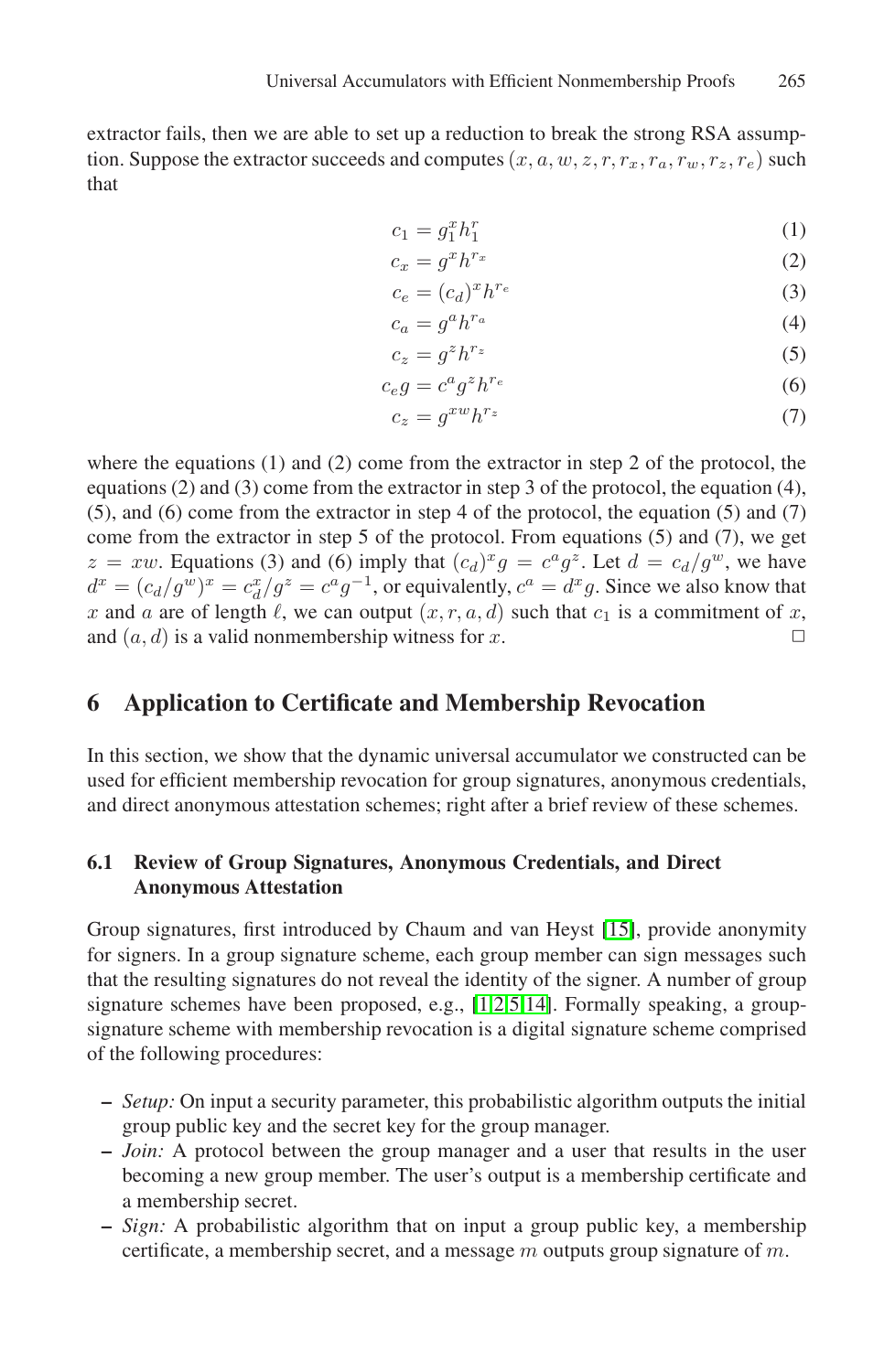extractor fails, then we are able to set up a reduction to break the strong RSA assumption. Suppose the extractor succeeds and computes  $(x, a, w, z, r, r_x, r_a, r_w, r_z, r_e)$  such that

$$
c_1 = g_1^x h_1^r \tag{1}
$$

$$
c_x = g^x h^{r_x} \tag{2}
$$

$$
c_e = (c_d)^x h^{r_e} \tag{3}
$$

$$
c_a = g^a h^{r_a} \tag{4}
$$

$$
c_z = g^z h^{r_z} \tag{5}
$$

$$
c_e g = c^a g^z h^{r_e} \tag{6}
$$

$$
c_z = g^{xw} h^{r_z} \tag{7}
$$

where the equations  $(1)$  and  $(2)$  come from the extractor in step 2 of the protocol, the equations (2) and (3) come from the extractor in step 3 of the protocol, the equation (4), (5), and (6) come from the extractor in step 4 of the protocol, the equation (5) and (7) come from the extractor in step 5 of the protocol. From equations (5) and (7), we get  $z = xw$ . Equations (3) and (6) imply that  $(c_d)^x g = c^a g^z$ . Let  $d = c_d/g^w$ , we have  $d^x = (c_d/g^w)^x = c_d^x/g^z = c^a g^{-1}$ , or equivalently,  $c^a = d^x g$ . Since we also know that x and a are of length  $\ell$ , we can output  $(x, r, a, d)$  such that  $c_1$  is a commitment of x, and  $(a, d)$  is a valid nonmembership witness for x.  $\Box$ 

### **6 Application to Certificate and Membership Revocation**

In this section, we show that the dynamic universal accumulator we constructed can be used for efficient membership revocation for group signatures, anonymous credentials, and direct anonymous attestation schemes; right after a brief review of these schemes.

#### **6.1 Review of Group Signatures, Anonymous Credentials, and Direct Anonymous Attestation**

Group signatures, first introduced by Chaum and van Heyst [15], provide anonymity for signers. In a group signature scheme, each group member can sign messages such that the resulting signatures do not reveal the identity of the signer. A number of group signature schemes have been proposed, e.g., [1,2,5,14]. Formally speaking, a groupsignature scheme with membership revocation is a digital signature scheme comprised of the following procedures:

- **–** *Setup:* On input a security parameter, this probabilistic algorithm outputs the initial group public key and the secret key for the group manager.
- **–** *Join:* A protocol between the group manager and a user that results in the user becoming a new group member. The user's output is a membership certificate and a membership secret.
- **–** *Sign:* A probabilistic algorithm that on input a group public key, a membership certificate, a membership secret, and a message  $m$  outputs group signature of  $m$ .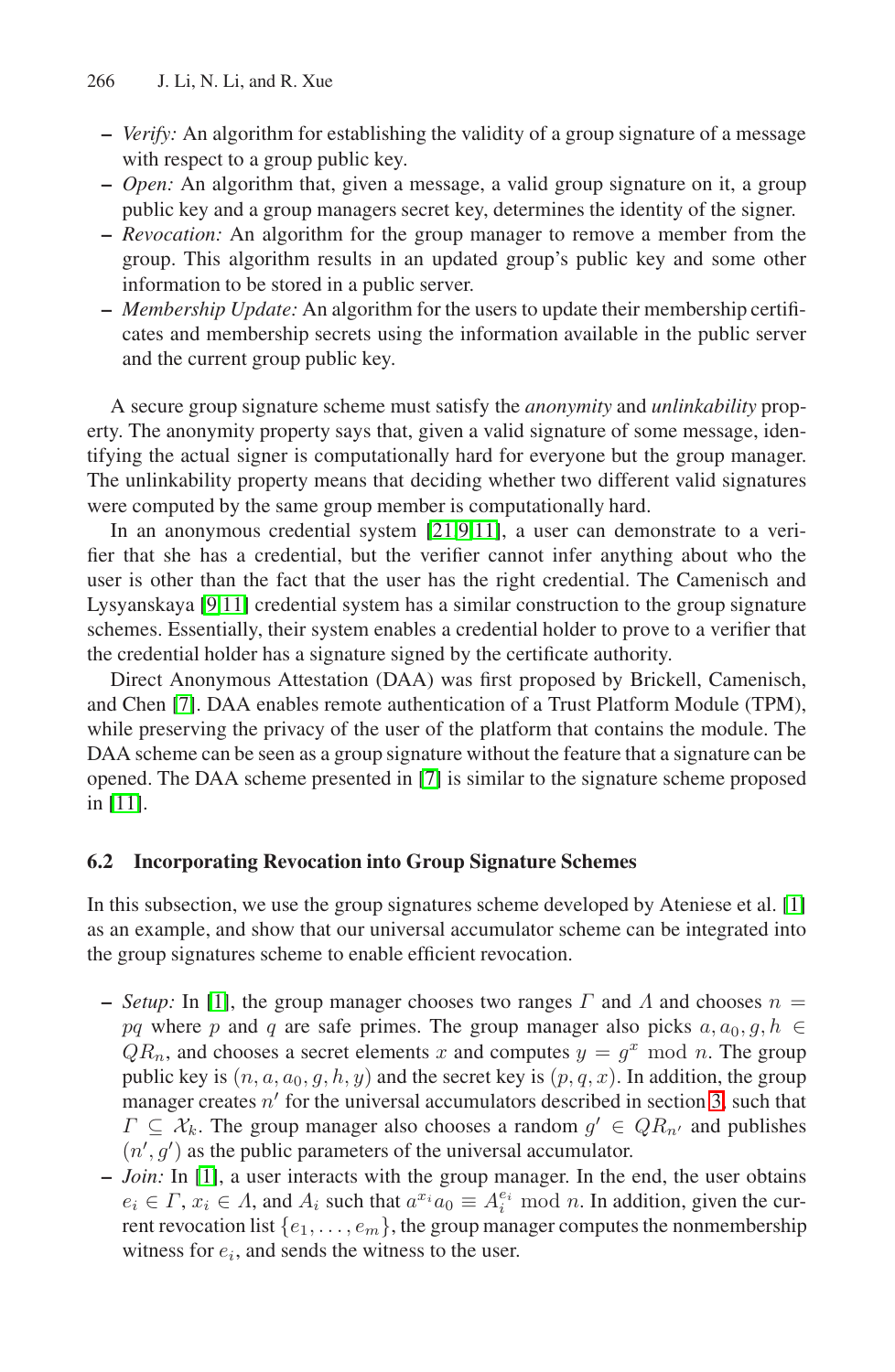- **–** *Verify:* An algorithm for establishing the validity of a group signature of a message with respect to a group public key.
- **–** *Open:* An algorithm that, given a message, a valid group signature on it, a group public key and a group managers secret key, determines the identity of the signer.
- **–** *Revocation:* An algorithm for the group manager to remove a member from the group. This algorithm results in an updated group's public key and some other information to be stored in a public server.
- **–** *Membership Update:* An algorithm for the users to update their membership certificates and membership secrets using the information available in the public server and the current group public key.

A secure group signature scheme must satisfy the *anonymity* and *unlinkability* property. The anonymity property says that, given a valid signature of some message, identifying the actual signer is computationally hard for everyone but the group manager. The unlinkability property means that deciding whether two different valid signatures were computed by the same group member is computationally hard.

In an anonymous credential system [21,9,11], a user can demonstrate to a verifier that she has a credential, but the verifier cannot infer anything about who the user is other than the fact that the user has the right credential. The Camenisch and Lysyanskaya [9,11] credential system has a similar construction to the group signature schemes. Essentially, their system enables a credential holder to prove to a verifier that the credential holder has a signature signed by the certificate authority.

Direct Anonymous Attestation (DAA) was first proposed by Brickell, Camenisch, and Chen [7]. DAA enables remote authentication of a Trust Platform Module (TPM), while preserving the privacy of the user of the platform that contains the module. The DAA scheme can be seen as a group signature without the feature that a signature can be opened. The DAA scheme presented in [7] is similar to the signature scheme proposed in [11].

#### **6.2 Incorporating Revocation into Group Signature Schemes**

In this subsection, we use the group signatures scheme developed by Ateniese et al. [1] as an example, and show that our universal accumulator scheme can be integrated into the group signatures scheme to enable efficient revocation.

- **–** *Setup*: In [1], the group manager chooses two ranges  $\Gamma$  and  $\Lambda$  and chooses  $n =$ pq where p and q are safe primes. The group manager also picks  $a, a_0, g, h \in$  $QR_n$ , and chooses a secret elements x and computes  $y = g^x \mod n$ . The group public key is  $(n, a, a_0, g, h, y)$  and the secret key is  $(p, q, x)$ . In addition, the group manager creates  $n'$  for the universal accumulators described in section 3, such that  $\Gamma \subseteq \mathcal{X}_k$ . The group manager also chooses a random  $g' \in QR_{n'}$  and publishes  $(n', g')$  as the public parameters of the universal accumulator.
- **–** *Join:* In [1], a user interacts with the group manager. In the end, the user obtains  $e_i \in \Gamma$ ,  $x_i \in \Lambda$ , and  $A_i$  such that  $a^{x_i} a_0 \equiv A_i^{e_i} \mod n$ . In addition, given the current revocation list  $\{e_1,\ldots,e_m\}$ , the group manager computes the nonmembership witness for  $e_i$ , and sends the witness to the user.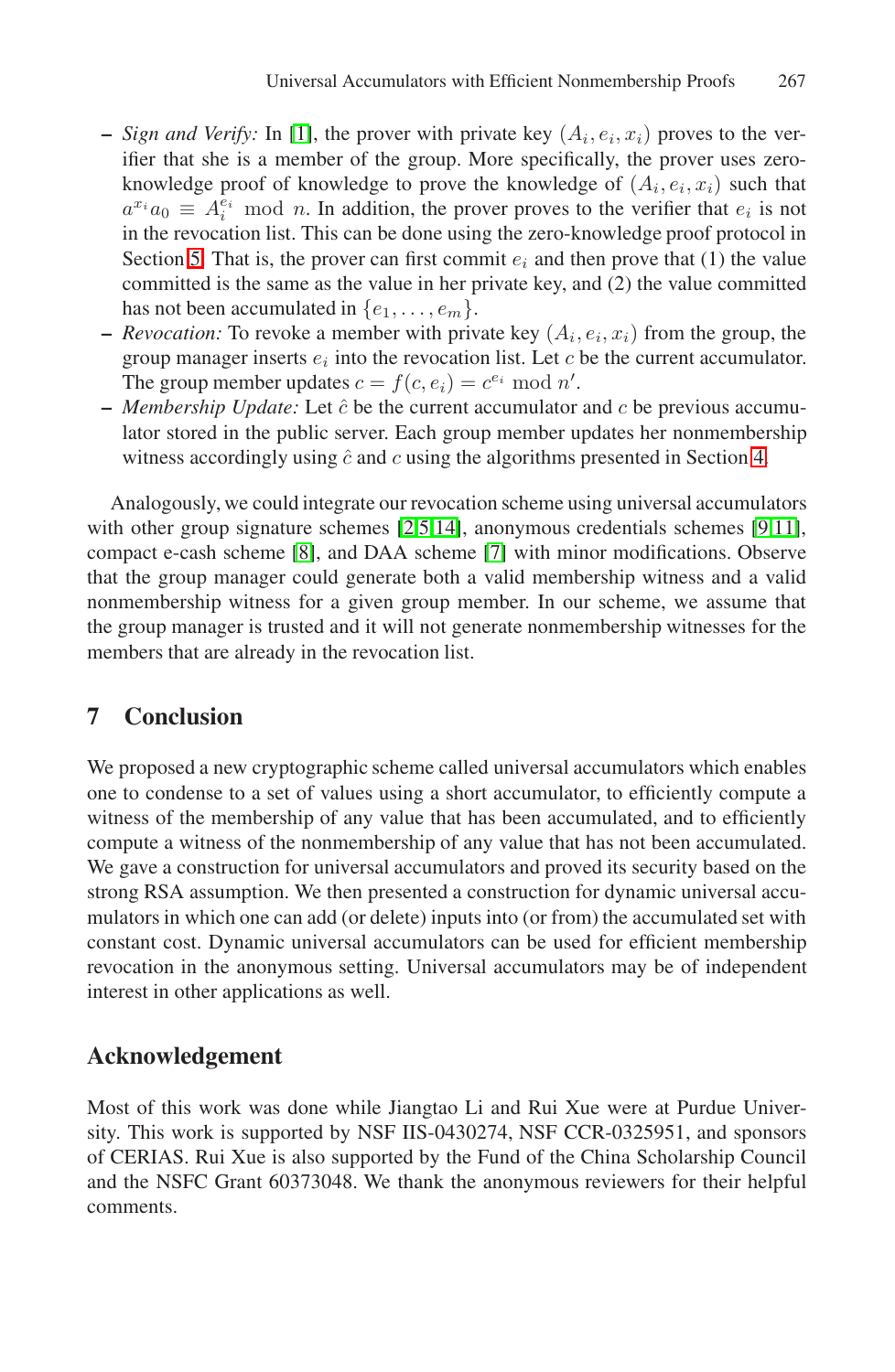- $\sim$  *Sign and Verify:* In [1], the prover with private key  $(A_i, e_i, x_i)$  proves to the verifier that she is a member of the group. More specifically, the prover uses zeroknowledge proof of knowledge to prove the knowledge of  $(A_i, e_i, x_i)$  such that  $a^{x_i} a_0 \equiv A_i^{e_i} \mod n$ . In addition, the prover proves to the verifier that  $e_i$  is not in the revocation list. This can be done using the zero-knowledge proof protocol in Section 5. That is, the prover can first commit  $e_i$  and then prove that (1) the value committed is the same as the value in her private key, and (2) the value committed has not been accumulated in  $\{e_1, \ldots, e_m\}.$
- **–** *Revocation:* To revoke a member with private key  $(A_i, e_i, x_i)$  from the group, the group manager inserts  $e_i$  into the revocation list. Let c be the current accumulator. The group member updates  $c = f(c, e_i) = c^{e_i} \text{ mod } n'$ .
- $-$  *Membership Update:* Let  $\hat{c}$  be the current accumulator and  $c$  be previous accumulator stored in the public server. Each group member updates her nonmembership witness accordingly using  $\hat{c}$  and  $c$  using the algorithms presented in Section 4.

Analogously, we could integrate our revocation scheme using universal accumulators with other group signature schemes [2,5,14], anonymous credentials schemes [9,11], compact e-cash scheme [8], and DAA scheme [7] with minor modifications. Observe that the group manager could generate both a valid membership witness and a valid nonmembership witness for a given group member. In our scheme, we assume that the group manager is trusted and it will not generate nonmembership witnesses for the members that are already in the revocation list.

# **7 Conclusion**

We proposed a new cryptographic scheme called universal accumulators which enables one to condense to a set of values using a short accumulator, to efficiently compute a witness of the membership of any value that has been accumulated, and to efficiently compute a witness of the nonmembership of any value that has not been accumulated. We gave a construction for universal accumulators and proved its security based on the strong RSA assumption. We then presented a construction for dynamic universal accumulators in which one can add (or delete) inputs into (or from) the accumulated set with constant cost. Dynamic universal accumulators can be used for efficient membership revocation in the anonymous setting. Universal accumulators may be of independent interest in other applications as well.

# **Acknowledgement**

Most of this work was done while Jiangtao Li and Rui Xue were at Purdue University. This work is supported by NSF IIS-0430274, NSF CCR-0325951, and sponsors of CERIAS. Rui Xue is also supported by the Fund of the China Scholarship Council and the NSFC Grant 60373048. We thank the anonymous reviewers for their helpful comments.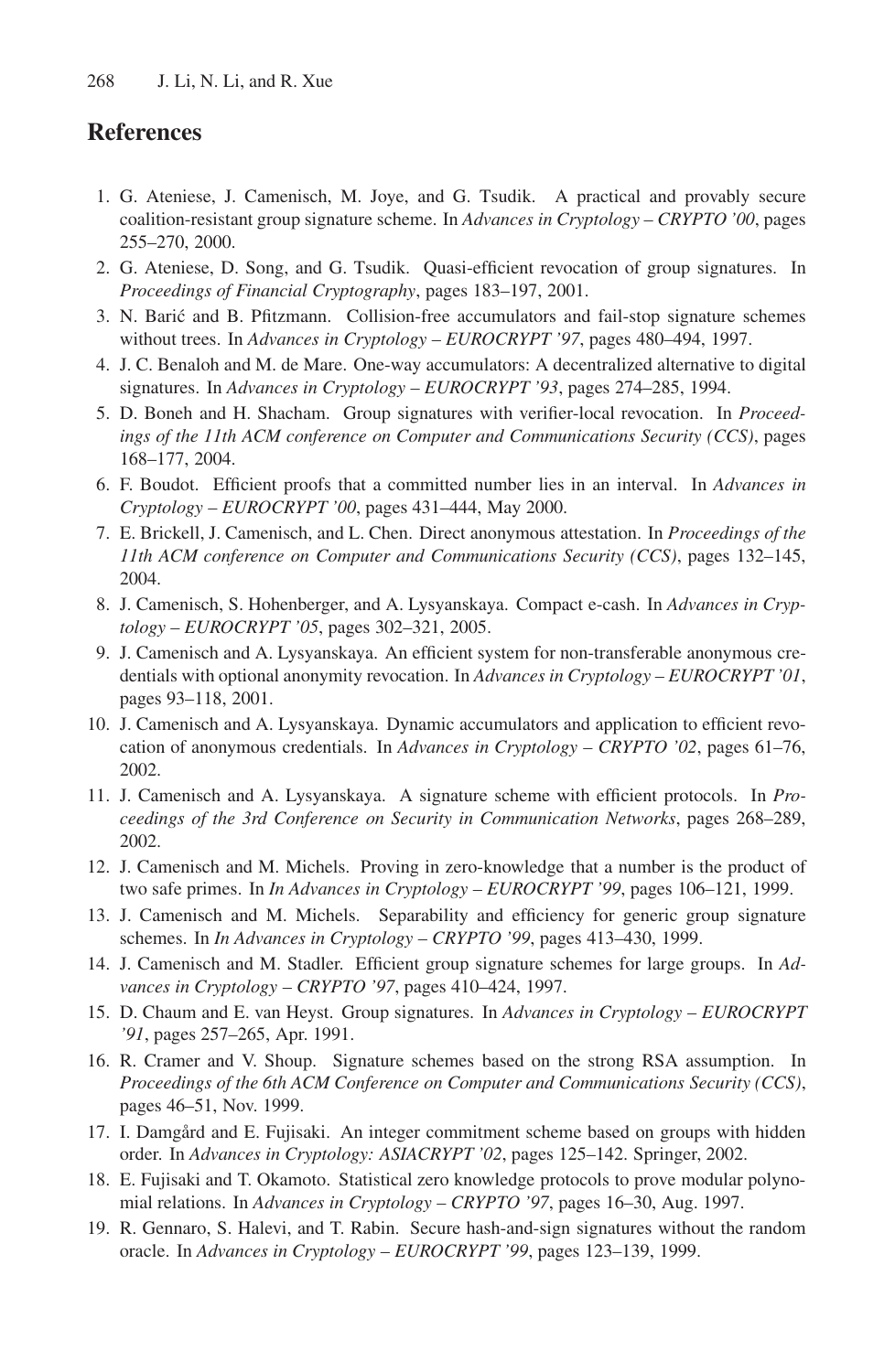## **References**

- 1. G. Ateniese, J. Camenisch, M. Joye, and G. Tsudik. A practical and provably secure coalition-resistant group signature scheme. In *Advances in Cryptology – CRYPTO '00*, pages 255–270, 2000.
- 2. G. Ateniese, D. Song, and G. Tsudik. Quasi-efficient revocation of group signatures. In *Proceedings of Financial Cryptography*, pages 183–197, 2001.
- 3. N. Bari´c and B. Pfitzmann. Collision-free accumulators and fail-stop signature schemes without trees. In *Advances in Cryptology – EUROCRYPT '97*, pages 480–494, 1997.
- 4. J. C. Benaloh and M. de Mare. One-way accumulators: A decentralized alternative to digital signatures. In *Advances in Cryptology – EUROCRYPT '93*, pages 274–285, 1994.
- 5. D. Boneh and H. Shacham. Group signatures with verifier-local revocation. In *Proceedings of the 11th ACM conference on Computer and Communications Security (CCS)*, pages 168–177, 2004.
- 6. F. Boudot. Efficient proofs that a committed number lies in an interval. In *Advances in Cryptology – EUROCRYPT '00*, pages 431–444, May 2000.
- 7. E. Brickell, J. Camenisch, and L. Chen. Direct anonymous attestation. In *Proceedings of the 11th ACM conference on Computer and Communications Security (CCS)*, pages 132–145, 2004.
- 8. J. Camenisch, S. Hohenberger, and A. Lysyanskaya. Compact e-cash. In *Advances in Cryptology – EUROCRYPT '05*, pages 302–321, 2005.
- 9. J. Camenisch and A. Lysyanskaya. An efficient system for non-transferable anonymous credentials with optional anonymity revocation. In *Advances in Cryptology – EUROCRYPT '01*, pages 93–118, 2001.
- 10. J. Camenisch and A. Lysyanskaya. Dynamic accumulators and application to efficient revocation of anonymous credentials. In *Advances in Cryptology – CRYPTO '02*, pages 61–76, 2002.
- 11. J. Camenisch and A. Lysyanskaya. A signature scheme with efficient protocols. In *Proceedings of the 3rd Conference on Security in Communication Networks*, pages 268–289, 2002.
- 12. J. Camenisch and M. Michels. Proving in zero-knowledge that a number is the product of two safe primes. In *In Advances in Cryptology – EUROCRYPT '99*, pages 106–121, 1999.
- 13. J. Camenisch and M. Michels. Separability and efficiency for generic group signature schemes. In *In Advances in Cryptology – CRYPTO '99*, pages 413–430, 1999.
- 14. J. Camenisch and M. Stadler. Efficient group signature schemes for large groups. In *Advances in Cryptology – CRYPTO '97*, pages 410–424, 1997.
- 15. D. Chaum and E. van Heyst. Group signatures. In *Advances in Cryptology EUROCRYPT '91*, pages 257–265, Apr. 1991.
- 16. R. Cramer and V. Shoup. Signature schemes based on the strong RSA assumption. In *Proceedings of the 6th ACM Conference on Computer and Communications Security (CCS)*, pages 46–51, Nov. 1999.
- 17. I. Damgård and E. Fujisaki. An integer commitment scheme based on groups with hidden order. In *Advances in Cryptology: ASIACRYPT '02*, pages 125–142. Springer, 2002.
- 18. E. Fujisaki and T. Okamoto. Statistical zero knowledge protocols to prove modular polynomial relations. In *Advances in Cryptology – CRYPTO '97*, pages 16–30, Aug. 1997.
- 19. R. Gennaro, S. Halevi, and T. Rabin. Secure hash-and-sign signatures without the random oracle. In *Advances in Cryptology – EUROCRYPT '99*, pages 123–139, 1999.